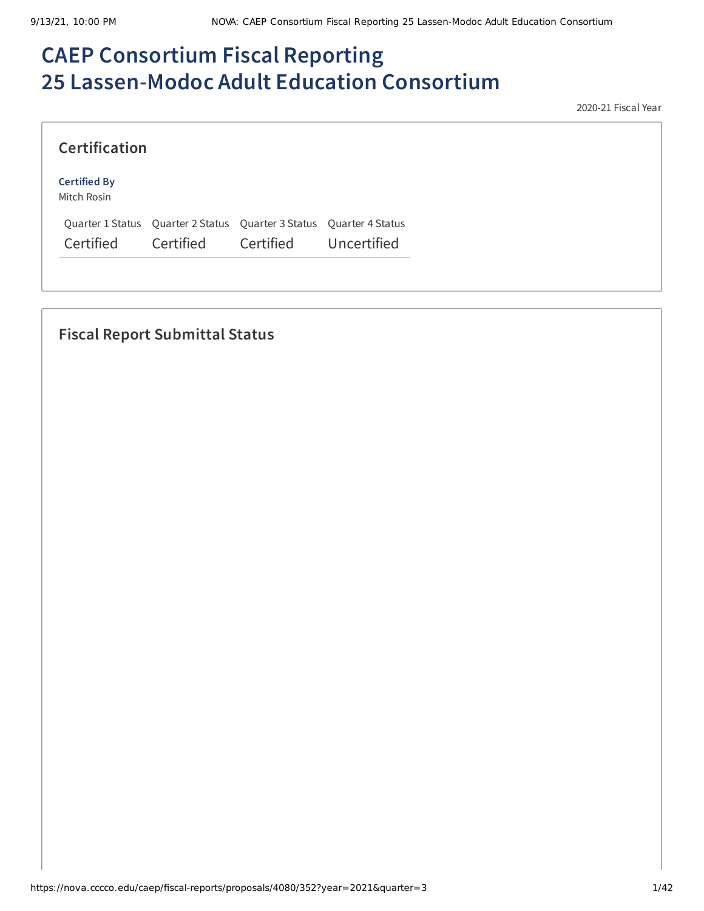# **CAEP Consortium Fiscal Reporting 25 Lassen-Modoc Adult Education Consortium**

2020-21 Fiscal Year

| <b>Certification</b>               |           |                                                                     |             |
|------------------------------------|-----------|---------------------------------------------------------------------|-------------|
| <b>Certified By</b><br>Mitch Rosin |           |                                                                     |             |
|                                    |           | Quarter 1 Status Quarter 2 Status Quarter 3 Status Quarter 4 Status |             |
| Certified                          | Certified | Certified                                                           | Uncertified |

## **Fiscal Report Submittal Status**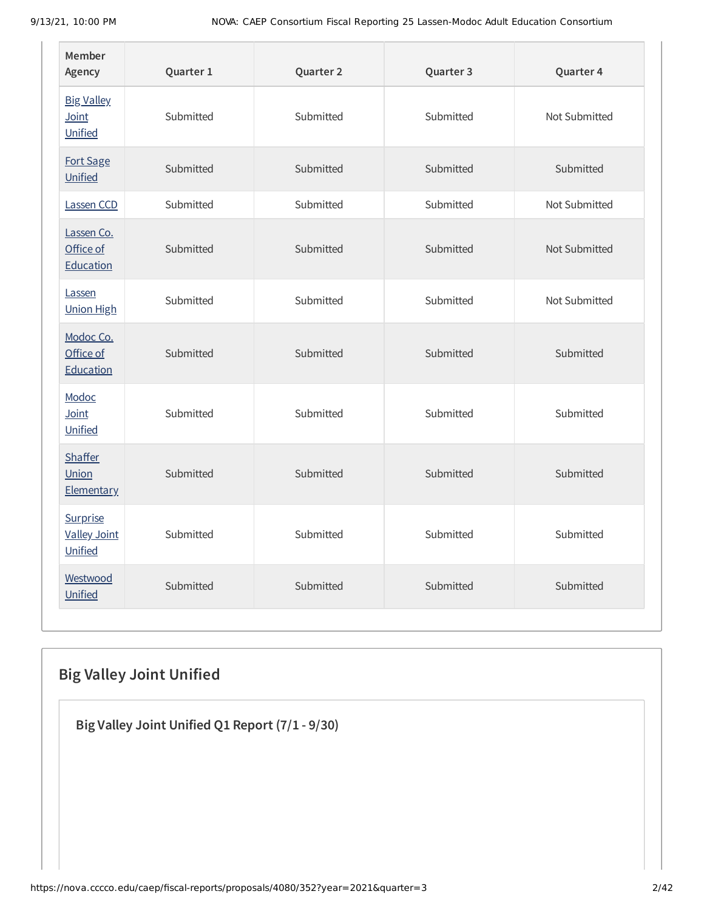| Member<br>Agency                           | Quarter 1 | Quarter 2 | Quarter 3 | Quarter 4     |
|--------------------------------------------|-----------|-----------|-----------|---------------|
| <b>Big Valley</b><br>Joint<br>Unified      | Submitted | Submitted | Submitted | Not Submitted |
| Fort Sage<br>Unified                       | Submitted | Submitted | Submitted | Submitted     |
| Lassen CCD                                 | Submitted | Submitted | Submitted | Not Submitted |
| Lassen Co.<br>Office of<br>Education       | Submitted | Submitted | Submitted | Not Submitted |
| Lassen<br><b>Union High</b>                | Submitted | Submitted | Submitted | Not Submitted |
| Modoc Co.<br>Office of<br>Education        | Submitted | Submitted | Submitted | Submitted     |
| Modoc<br>Joint<br>Unified                  | Submitted | Submitted | Submitted | Submitted     |
| <b>Shaffer</b><br>Union<br>Elementary      | Submitted | Submitted | Submitted | Submitted     |
| Surprise<br><b>Valley Joint</b><br>Unified | Submitted | Submitted | Submitted | Submitted     |
| Westwood<br>Unified                        | Submitted | Submitted | Submitted | Submitted     |

## **Big Valley Joint Unified**

**Big Valley Joint Unified Q1 Report (7/1 - 9/30)**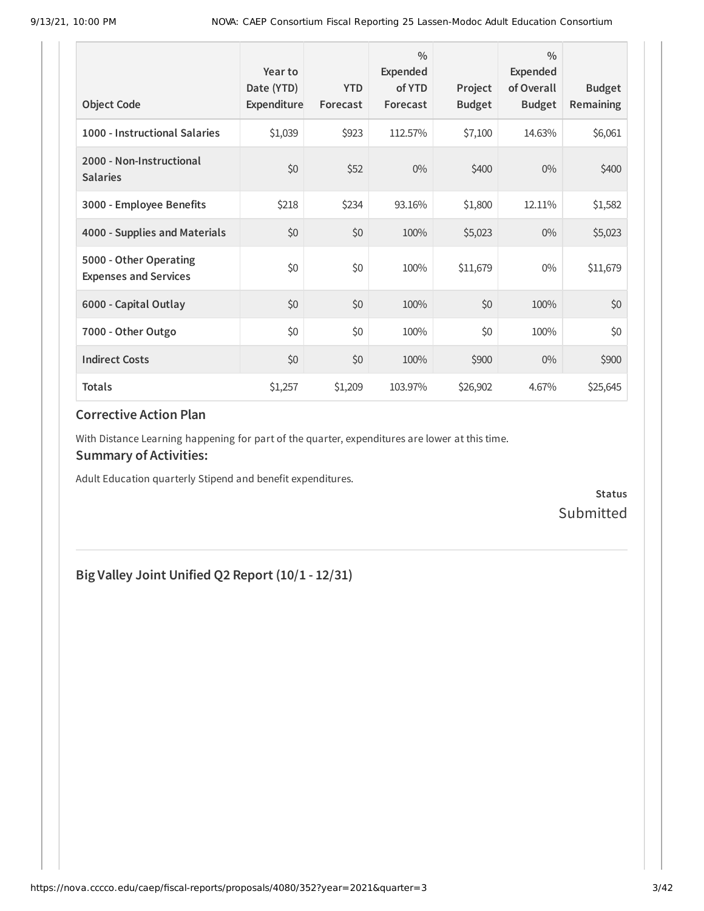| <b>Object Code</b>                                     | Year to<br>Date (YTD)<br>Expenditure | <b>YTD</b><br>Forecast | $\frac{0}{0}$<br>Expended<br>of YTD<br>Forecast | Project<br><b>Budget</b> | $\frac{0}{0}$<br><b>Expended</b><br>of Overall<br><b>Budget</b> | <b>Budget</b><br>Remaining |
|--------------------------------------------------------|--------------------------------------|------------------------|-------------------------------------------------|--------------------------|-----------------------------------------------------------------|----------------------------|
| 1000 - Instructional Salaries                          | \$1,039                              | \$923                  | 112.57%                                         | \$7,100                  | 14.63%                                                          | \$6,061                    |
| 2000 - Non-Instructional<br><b>Salaries</b>            | \$0                                  | \$52                   | $0\%$                                           | \$400                    | $0\%$                                                           | \$400                      |
| 3000 - Employee Benefits                               | \$218                                | \$234                  | 93.16%                                          | \$1,800                  | 12.11%                                                          | \$1,582                    |
| 4000 - Supplies and Materials                          | \$0                                  | \$0                    | 100%                                            | \$5,023                  | $0\%$                                                           | \$5,023                    |
| 5000 - Other Operating<br><b>Expenses and Services</b> | \$0                                  | \$0                    | 100%                                            | \$11,679                 | $0\%$                                                           | \$11,679                   |
| 6000 - Capital Outlay                                  | \$0                                  | \$0                    | 100%                                            | \$0                      | 100%                                                            | \$0                        |
| 7000 - Other Outgo                                     | \$0                                  | \$0                    | 100%                                            | \$0                      | 100%                                                            | \$0                        |
| <b>Indirect Costs</b>                                  | \$0                                  | \$0                    | 100%                                            | \$900                    | $0\%$                                                           | \$900                      |
| <b>Totals</b>                                          | \$1,257                              | \$1,209                | 103.97%                                         | \$26,902                 | 4.67%                                                           | \$25,645                   |

With Distance Learning happening for part of the quarter, expenditures are lower at this time.

### **Summary of Activities:**

Adult Education quarterly Stipend and benefit expenditures.

**Status** Submitted

## **Big Valley Joint Unified Q2 Report (10/1 - 12/31)**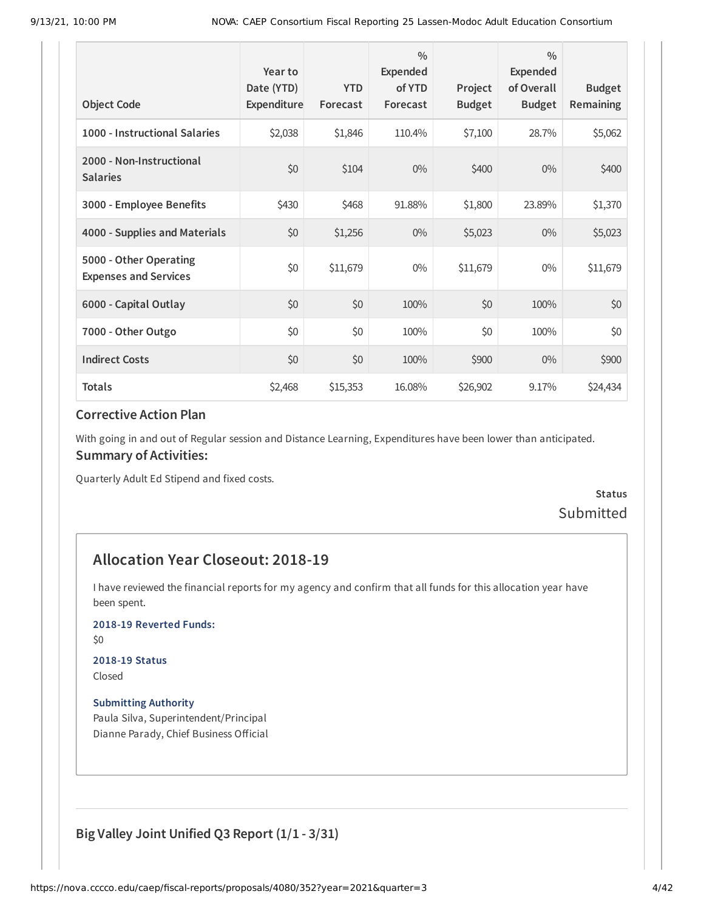| <b>Object Code</b>                                     | Year to<br>Date (YTD)<br>Expenditure | <b>YTD</b><br>Forecast | $\frac{0}{0}$<br>Expended<br>of YTD<br>Forecast | Project<br><b>Budget</b> | $\frac{0}{0}$<br>Expended<br>of Overall<br><b>Budget</b> | <b>Budget</b><br>Remaining |
|--------------------------------------------------------|--------------------------------------|------------------------|-------------------------------------------------|--------------------------|----------------------------------------------------------|----------------------------|
| 1000 - Instructional Salaries                          | \$2,038                              | \$1,846                | 110.4%                                          | \$7,100                  | 28.7%                                                    | \$5,062                    |
| 2000 - Non-Instructional<br><b>Salaries</b>            | \$0                                  | \$104                  | $0\%$                                           | \$400                    | $0\%$                                                    | \$400                      |
| 3000 - Employee Benefits                               | \$430                                | \$468                  | 91.88%                                          | \$1,800                  | 23.89%                                                   | \$1,370                    |
| 4000 - Supplies and Materials                          | \$0                                  | \$1,256                | $0\%$                                           | \$5,023                  | $0\%$                                                    | \$5,023                    |
| 5000 - Other Operating<br><b>Expenses and Services</b> | \$0                                  | \$11,679               | $0\%$                                           | \$11,679                 | $0\%$                                                    | \$11,679                   |
| 6000 - Capital Outlay                                  | \$0                                  | \$0                    | 100%                                            | \$0                      | 100%                                                     | \$0                        |
| 7000 - Other Outgo                                     | \$0                                  | \$0                    | 100%                                            | \$0                      | 100%                                                     | \$0                        |
| <b>Indirect Costs</b>                                  | \$0                                  | \$0                    | 100%                                            | \$900                    | $0\%$                                                    | \$900                      |
| <b>Totals</b>                                          | \$2,468                              | \$15,353               | 16.08%                                          | \$26,902                 | 9.17%                                                    | \$24,434                   |

With going in and out of Regular session and Distance Learning, Expenditures have been lower than anticipated. **Summary of Activities:**

Quarterly Adult Ed Stipend and fixed costs.

**Status** Submitted

## **Allocation Year Closeout: 2018-19**

I have reviewed the financial reports for my agency and confirm that all funds for this allocation year have been spent.

#### **2018-19 Reverted Funds:**

\$0

#### **2018-19 Status**

Closed

#### **Submitting Authority**

Paula Silva, Superintendent/Principal Dianne Parady, Chief Business Official

## **Big Valley Joint Unified Q3 Report (1/1 - 3/31)**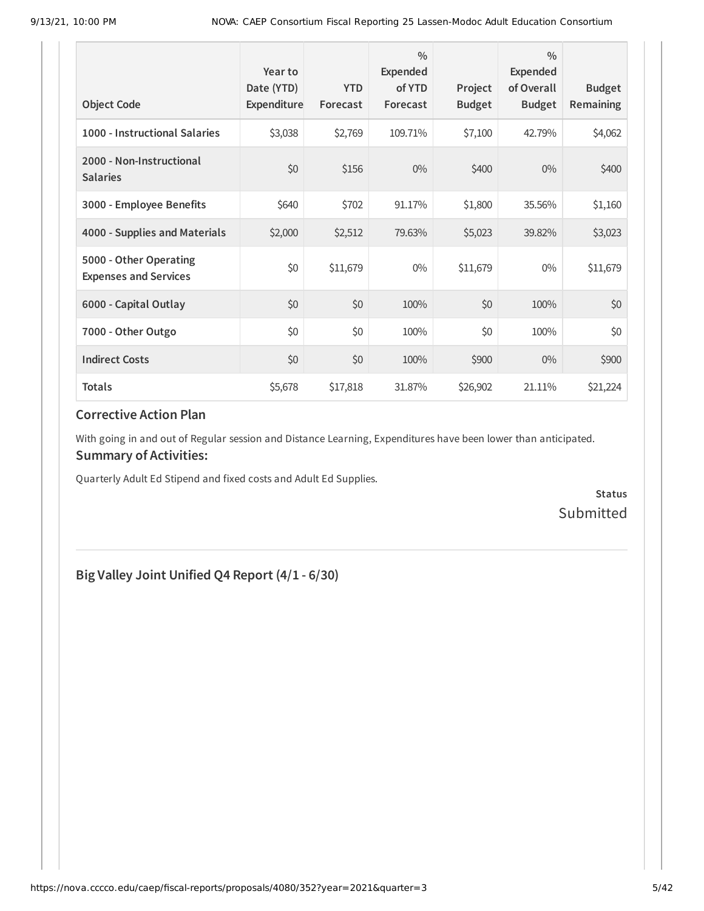| <b>Object Code</b>                                     | Year to<br>Date (YTD)<br>Expenditure | <b>YTD</b><br>Forecast | $\frac{0}{0}$<br>Expended<br>of YTD<br>Forecast | Project<br><b>Budget</b> | $\frac{0}{0}$<br><b>Expended</b><br>of Overall<br><b>Budget</b> | <b>Budget</b><br>Remaining |
|--------------------------------------------------------|--------------------------------------|------------------------|-------------------------------------------------|--------------------------|-----------------------------------------------------------------|----------------------------|
| 1000 - Instructional Salaries                          | \$3,038                              | \$2,769                | 109.71%                                         | \$7,100                  | 42.79%                                                          | \$4,062                    |
| 2000 - Non-Instructional<br><b>Salaries</b>            | \$0                                  | \$156                  | $0\%$                                           | \$400                    | $0\%$                                                           | \$400                      |
| 3000 - Employee Benefits                               | \$640                                | \$702                  | 91.17%                                          | \$1,800                  | 35.56%                                                          | \$1,160                    |
| 4000 - Supplies and Materials                          | \$2,000                              | \$2,512                | 79.63%                                          | \$5,023                  | 39.82%                                                          | \$3,023                    |
| 5000 - Other Operating<br><b>Expenses and Services</b> | \$0                                  | \$11,679               | $0\%$                                           | \$11,679                 | $0\%$                                                           | \$11,679                   |
| 6000 - Capital Outlay                                  | \$0                                  | \$0                    | 100%                                            | \$0                      | 100%                                                            | \$0                        |
| 7000 - Other Outgo                                     | \$0                                  | \$0                    | 100%                                            | \$0                      | 100%                                                            | \$0                        |
| <b>Indirect Costs</b>                                  | \$0                                  | \$0                    | 100%                                            | \$900                    | $0\%$                                                           | \$900                      |
| <b>Totals</b>                                          | \$5,678                              | \$17,818               | 31.87%                                          | \$26,902                 | 21.11%                                                          | \$21,224                   |

With going in and out of Regular session and Distance Learning, Expenditures have been lower than anticipated. **Summary of Activities:**

Quarterly Adult Ed Stipend and fixed costs and Adult Ed Supplies.

**Status** Submitted

## **Big Valley Joint Unified Q4 Report (4/1 - 6/30)**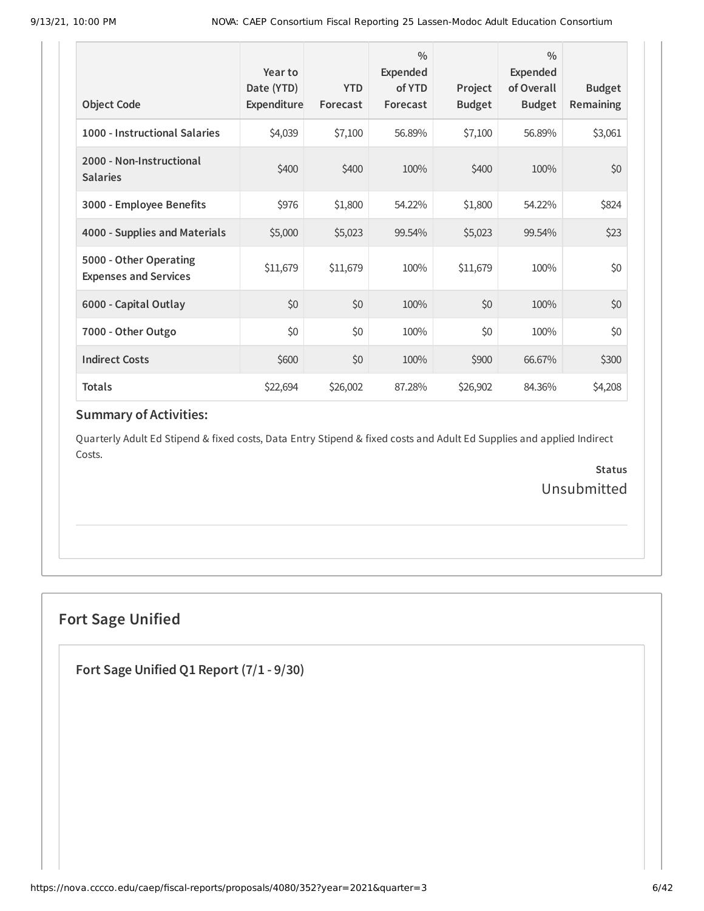| <b>Object Code</b>                                     | Year to<br>Date (YTD)<br>Expenditure | <b>YTD</b><br>Forecast | $\frac{0}{0}$<br>Expended<br>of YTD<br>Forecast | Project<br><b>Budget</b> | $\frac{0}{0}$<br><b>Expended</b><br>of Overall<br><b>Budget</b> | <b>Budget</b><br><b>Remaining</b> |
|--------------------------------------------------------|--------------------------------------|------------------------|-------------------------------------------------|--------------------------|-----------------------------------------------------------------|-----------------------------------|
| 1000 - Instructional Salaries                          | \$4,039                              | \$7,100                | 56.89%                                          | \$7,100                  | 56.89%                                                          | \$3,061                           |
| 2000 - Non-Instructional<br><b>Salaries</b>            | \$400                                | \$400                  | 100%                                            | \$400                    | 100%                                                            | \$0                               |
| 3000 - Employee Benefits                               | \$976                                | \$1,800                | 54.22%                                          | \$1,800                  | 54.22%                                                          | \$824                             |
| 4000 - Supplies and Materials                          | \$5,000                              | \$5,023                | 99.54%                                          | \$5,023                  | 99.54%                                                          | \$23                              |
| 5000 - Other Operating<br><b>Expenses and Services</b> | \$11,679                             | \$11,679               | 100%                                            | \$11,679                 | 100%                                                            | \$0                               |
| 6000 - Capital Outlay                                  | \$0                                  | \$0                    | 100%                                            | \$0                      | 100%                                                            | \$0                               |
| 7000 - Other Outgo                                     | \$0                                  | \$0                    | 100%                                            | \$0                      | 100%                                                            | \$0                               |
| <b>Indirect Costs</b>                                  | \$600                                | \$0                    | 100%                                            | \$900                    | 66.67%                                                          | \$300                             |
| <b>Totals</b>                                          | \$22,694                             | \$26,002               | 87.28%                                          | \$26,902                 | 84.36%                                                          | \$4,208                           |

Quarterly Adult Ed Stipend & fixed costs, Data Entry Stipend & fixed costs and Adult Ed Supplies and applied Indirect Costs.

> **Status** Unsubmitted

## **Fort Sage Unified**

**Fort Sage Unified Q1 Report (7/1 - 9/30)**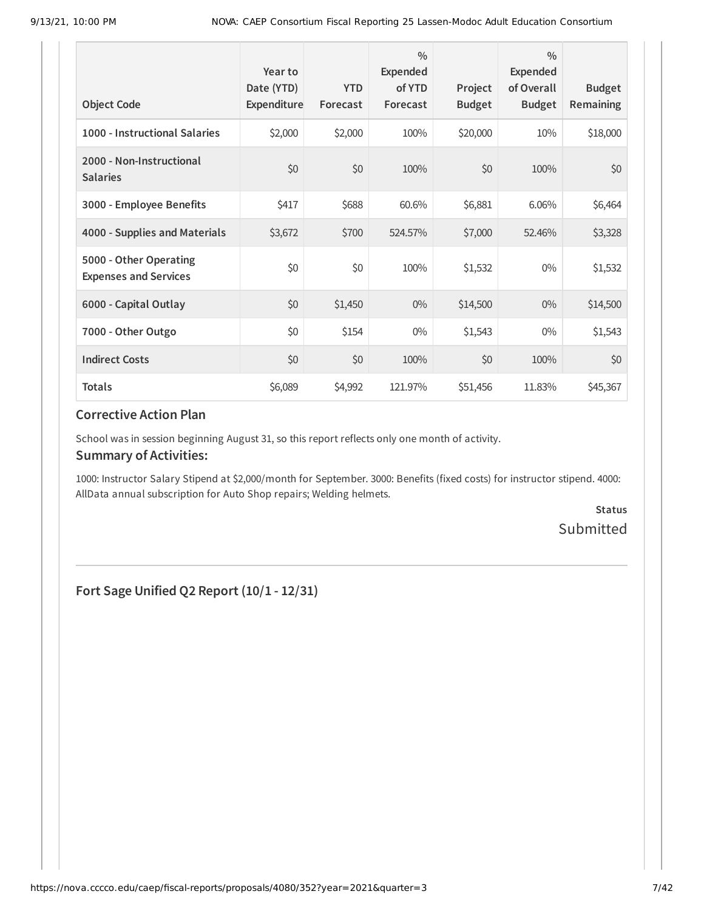| <b>Object Code</b>                                     | Year to<br>Date (YTD)<br>Expenditure | <b>YTD</b><br>Forecast | $\frac{0}{0}$<br>Expended<br>of YTD<br>Forecast | Project<br><b>Budget</b> | $\frac{0}{0}$<br>Expended<br>of Overall<br><b>Budget</b> | <b>Budget</b><br><b>Remaining</b> |
|--------------------------------------------------------|--------------------------------------|------------------------|-------------------------------------------------|--------------------------|----------------------------------------------------------|-----------------------------------|
| 1000 - Instructional Salaries                          | \$2,000                              | \$2,000                | 100%                                            | \$20,000                 | 10%                                                      | \$18,000                          |
| 2000 - Non-Instructional<br><b>Salaries</b>            | \$0                                  | \$0                    | 100%                                            | \$0                      | 100%                                                     | \$0                               |
| 3000 - Employee Benefits                               | \$417                                | \$688                  | 60.6%                                           | \$6,881                  | 6.06%                                                    | \$6,464                           |
| 4000 - Supplies and Materials                          | \$3,672                              | \$700                  | 524.57%                                         | \$7,000                  | 52.46%                                                   | \$3,328                           |
| 5000 - Other Operating<br><b>Expenses and Services</b> | \$0                                  | \$0                    | 100%                                            | \$1,532                  | $0\%$                                                    | \$1,532                           |
| 6000 - Capital Outlay                                  | \$0                                  | \$1,450                | $0\%$                                           | \$14,500                 | $0\%$                                                    | \$14,500                          |
| 7000 - Other Outgo                                     | \$0                                  | \$154                  | $0\%$                                           | \$1,543                  | $0\%$                                                    | \$1,543                           |
| <b>Indirect Costs</b>                                  | \$0                                  | \$0                    | 100%                                            | \$0                      | 100%                                                     | \$0                               |
| <b>Totals</b>                                          | \$6,089                              | \$4,992                | 121.97%                                         | \$51,456                 | 11.83%                                                   | \$45,367                          |

School was in session beginning August 31, so this report reflects only one month of activity.

#### **Summary of Activities:**

1000: Instructor Salary Stipend at \$2,000/month for September. 3000: Benefits (fixed costs) for instructor stipend. 4000: AllData annual subscription for Auto Shop repairs; Welding helmets.

> **Status** Submitted

**Fort Sage Unified Q2 Report (10/1 - 12/31)**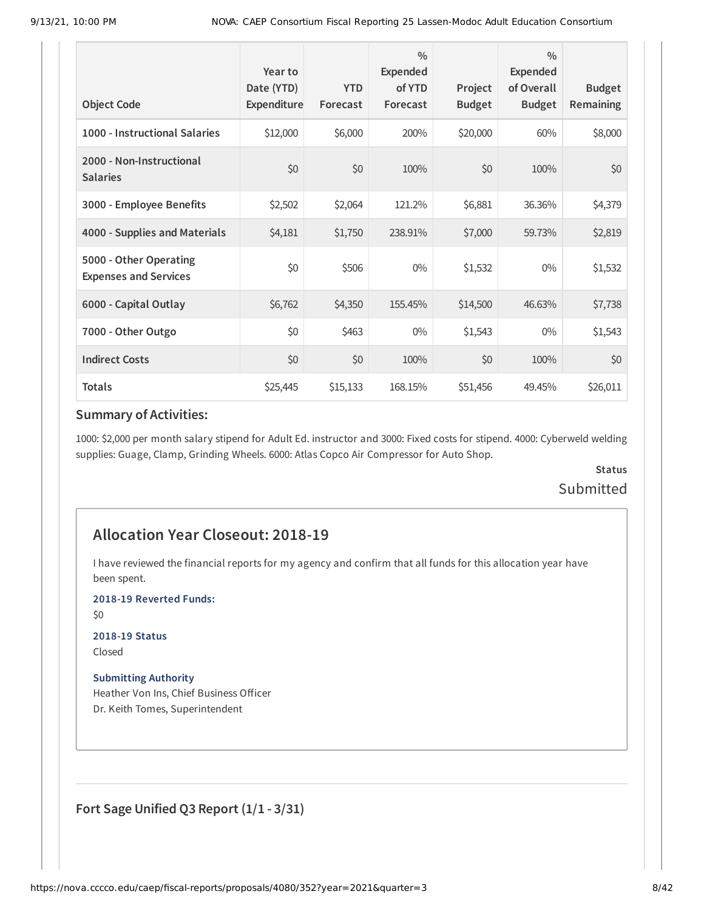| <b>Object Code</b>                                     | Year to<br>Date (YTD)<br>Expenditure | <b>YTD</b><br>Forecast | $\frac{0}{0}$<br>Expended<br>of YTD<br>Forecast | Project<br><b>Budget</b> | $\frac{0}{0}$<br><b>Expended</b><br>of Overall<br><b>Budget</b> | <b>Budget</b><br>Remaining |
|--------------------------------------------------------|--------------------------------------|------------------------|-------------------------------------------------|--------------------------|-----------------------------------------------------------------|----------------------------|
| 1000 - Instructional Salaries                          | \$12,000                             | \$6,000                | 200%                                            | \$20,000                 | 60%                                                             | \$8,000                    |
| 2000 - Non-Instructional<br><b>Salaries</b>            | \$0                                  | \$0                    | 100%                                            | \$0                      | 100%                                                            | \$0                        |
| 3000 - Employee Benefits                               | \$2,502                              | \$2,064                | 121.2%                                          | \$6,881                  | 36.36%                                                          | \$4,379                    |
| 4000 - Supplies and Materials                          | \$4,181                              | \$1,750                | 238.91%                                         | \$7,000                  | 59.73%                                                          | \$2,819                    |
| 5000 - Other Operating<br><b>Expenses and Services</b> | \$0                                  | \$506                  | $0\%$                                           | \$1,532                  | $0\%$                                                           | \$1,532                    |
| 6000 - Capital Outlay                                  | \$6,762                              | \$4,350                | 155.45%                                         | \$14,500                 | 46.63%                                                          | \$7,738                    |
| 7000 - Other Outgo                                     | \$0                                  | \$463                  | $0\%$                                           | \$1,543                  | $0\%$                                                           | \$1,543                    |
| <b>Indirect Costs</b>                                  | \$0                                  | \$0                    | 100%                                            | \$0                      | 100%                                                            | \$0                        |
| <b>Totals</b>                                          | \$25,445                             | \$15,133               | 168.15%                                         | \$51,456                 | 49.45%                                                          | \$26,011                   |

1000: \$2,000 per month salary stipend for Adult Ed. instructor and 3000: Fixed costs for stipend. 4000: Cyberweld welding supplies: Guage, Clamp, Grinding Wheels. 6000: Atlas Copco Air Compressor for Auto Shop.

## **Status** Submitted

## **Allocation Year Closeout: 2018-19**

I have reviewed the financial reports for my agency and confirm that all funds for this allocation year have been spent.

**2018-19 Reverted Funds:**

\$0

**2018-19 Status**

Closed

**Submitting Authority**

Heather Von Ins, Chief Business Officer Dr. Keith Tomes, Superintendent

**Fort Sage Unified Q3 Report (1/1 - 3/31)**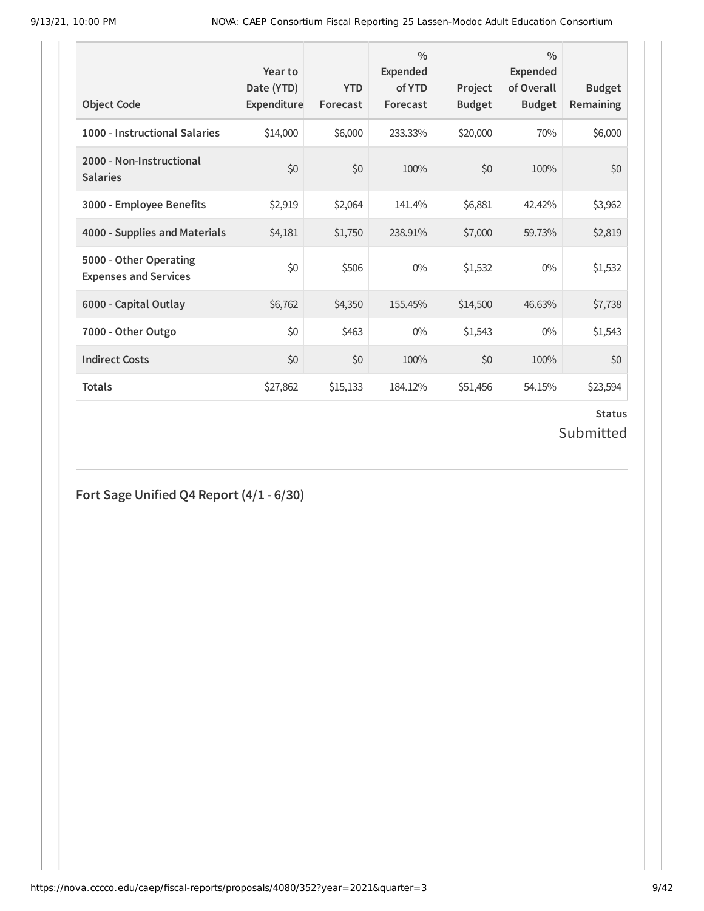| <b>Object Code</b>                                     | Year to<br>Date (YTD)<br>Expenditure | <b>YTD</b><br>Forecast | $\frac{0}{0}$<br>Expended<br>of YTD<br>Forecast | Project<br><b>Budget</b> | $\frac{0}{0}$<br>Expended<br>of Overall<br><b>Budget</b> | <b>Budget</b><br><b>Remaining</b> |
|--------------------------------------------------------|--------------------------------------|------------------------|-------------------------------------------------|--------------------------|----------------------------------------------------------|-----------------------------------|
| 1000 - Instructional Salaries                          | \$14,000                             | \$6,000                | 233.33%                                         | \$20,000                 | 70%                                                      | \$6,000                           |
| 2000 - Non-Instructional<br><b>Salaries</b>            | \$0                                  | \$0                    | 100%                                            | \$0                      | 100%                                                     | \$0                               |
| 3000 - Employee Benefits                               | \$2,919                              | \$2,064                | 141.4%                                          | \$6,881                  | 42.42%                                                   | \$3,962                           |
| 4000 - Supplies and Materials                          | \$4,181                              | \$1,750                | 238.91%                                         | \$7,000                  | 59.73%                                                   | \$2,819                           |
| 5000 - Other Operating<br><b>Expenses and Services</b> | \$0                                  | \$506                  | $0\%$                                           | \$1,532                  | $0\%$                                                    | \$1,532                           |
| 6000 - Capital Outlay                                  | \$6,762                              | \$4,350                | 155.45%                                         | \$14,500                 | 46.63%                                                   | \$7,738                           |
| 7000 - Other Outgo                                     | \$0                                  | \$463                  | $0\%$                                           | \$1,543                  | $0\%$                                                    | \$1,543                           |
| <b>Indirect Costs</b>                                  | \$0                                  | \$0                    | 100%                                            | \$0                      | 100%                                                     | \$0                               |
| <b>Totals</b>                                          | \$27,862                             | \$15,133               | 184.12%                                         | \$51,456                 | 54.15%                                                   | \$23,594                          |

## **Status** Submitted

**Fort Sage Unified Q4 Report (4/1 - 6/30)**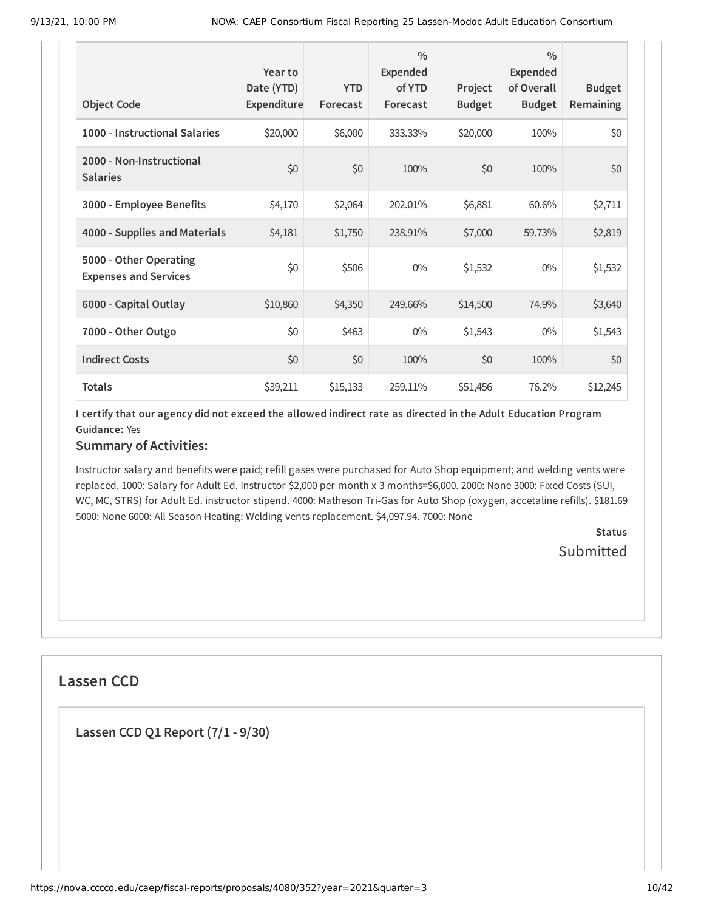| <b>Object Code</b>                                     | Year to<br>Date (YTD)<br>Expenditure | <b>YTD</b><br>Forecast | $\frac{0}{0}$<br><b>Expended</b><br>of YTD<br>Forecast | Project<br><b>Budget</b> | $\frac{0}{0}$<br><b>Expended</b><br>of Overall<br><b>Budget</b> | <b>Budget</b><br><b>Remaining</b> |
|--------------------------------------------------------|--------------------------------------|------------------------|--------------------------------------------------------|--------------------------|-----------------------------------------------------------------|-----------------------------------|
| 1000 - Instructional Salaries                          | \$20,000                             | \$6,000                | 333.33%                                                | \$20,000                 | 100%                                                            | \$0                               |
| 2000 - Non-Instructional<br><b>Salaries</b>            | \$0                                  | \$0                    | 100%                                                   | \$0                      | 100%                                                            | \$0                               |
| 3000 - Employee Benefits                               | \$4,170                              | \$2,064                | 202.01%                                                | \$6,881                  | 60.6%                                                           | \$2,711                           |
| 4000 - Supplies and Materials                          | \$4,181                              | \$1,750                | 238.91%                                                | \$7,000                  | 59.73%                                                          | \$2,819                           |
| 5000 - Other Operating<br><b>Expenses and Services</b> | \$0                                  | \$506                  | $0\%$                                                  | \$1,532                  | $0\%$                                                           | \$1,532                           |
| 6000 - Capital Outlay                                  | \$10,860                             | \$4,350                | 249.66%                                                | \$14,500                 | 74.9%                                                           | \$3,640                           |
| 7000 - Other Outgo                                     | \$0                                  | \$463                  | $0\%$                                                  | \$1,543                  | $0\%$                                                           | \$1,543                           |
| <b>Indirect Costs</b>                                  | \$0                                  | \$0                    | 100%                                                   | \$0                      | 100%                                                            | \$0                               |
| <b>Totals</b>                                          | \$39,211                             | \$15,133               | 259.11%                                                | \$51,456                 | 76.2%                                                           | \$12,245                          |

I certify that our agency did not exceed the allowed indirect rate as directed in the Adult Education Program **Guidance:** Yes

## **Summary of Activities:**

Instructor salary and benefits were paid; refill gases were purchased for Auto Shop equipment; and welding vents were replaced. 1000: Salary for Adult Ed. Instructor \$2,000 per month x 3 months=\$6,000. 2000: None 3000: Fixed Costs (SUI, WC, MC, STRS) for Adult Ed. instructor stipend. 4000: Matheson Tri-Gas for Auto Shop (oxygen, accetaline refills). \$181.69 5000: None 6000: All Season Heating: Welding vents replacement. \$4,097.94. 7000: None

> **Status Submitted**

## **Lassen CCD**

**Lassen CCD Q1 Report (7/1 - 9/30)**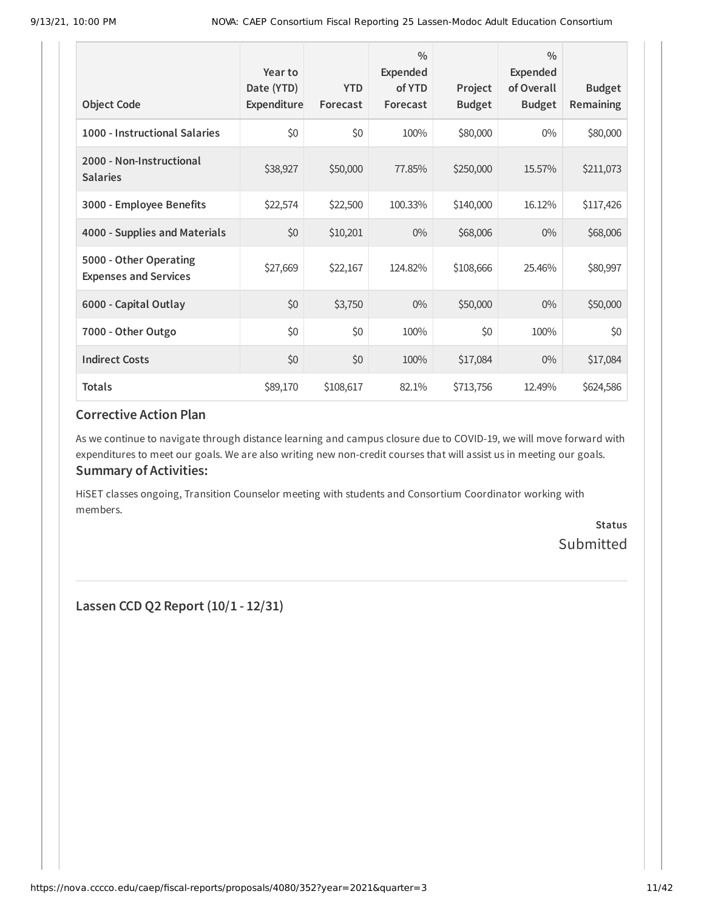| <b>Object Code</b>                                     | Year to<br>Date (YTD)<br>Expenditure | <b>YTD</b><br>Forecast | $\frac{0}{0}$<br>Expended<br>of YTD<br>Forecast | Project<br><b>Budget</b> | $\frac{0}{0}$<br>Expended<br>of Overall<br><b>Budget</b> | <b>Budget</b><br>Remaining |
|--------------------------------------------------------|--------------------------------------|------------------------|-------------------------------------------------|--------------------------|----------------------------------------------------------|----------------------------|
| 1000 - Instructional Salaries                          | \$0                                  | \$0                    | 100%                                            | \$80,000                 | $0\%$                                                    | \$80,000                   |
| 2000 - Non-Instructional<br><b>Salaries</b>            | \$38,927                             | \$50,000               | 77.85%                                          | \$250,000                | 15.57%                                                   | \$211,073                  |
| 3000 - Employee Benefits                               | \$22,574                             | \$22,500               | 100.33%                                         | \$140,000                | 16.12%                                                   | \$117,426                  |
| 4000 - Supplies and Materials                          | \$0                                  | \$10,201               | $0\%$                                           | \$68,006                 | $0\%$                                                    | \$68,006                   |
| 5000 - Other Operating<br><b>Expenses and Services</b> | \$27,669                             | \$22,167               | 124.82%                                         | \$108,666                | 25.46%                                                   | \$80,997                   |
| 6000 - Capital Outlay                                  | \$0                                  | \$3,750                | $0\%$                                           | \$50,000                 | $0\%$                                                    | \$50,000                   |
| 7000 - Other Outgo                                     | \$0                                  | \$0                    | 100%                                            | \$0                      | 100%                                                     | \$0                        |
| <b>Indirect Costs</b>                                  | \$0                                  | \$0                    | 100%                                            | \$17,084                 | $0\%$                                                    | \$17,084                   |
| <b>Totals</b>                                          | \$89,170                             | \$108,617              | 82.1%                                           | \$713,756                | 12.49%                                                   | \$624,586                  |

As we continue to navigate through distance learning and campus closure due to COVID-19, we will move forward with expenditures to meet our goals. We are also writing new non-credit courses that will assist us in meeting our goals. **Summary of Activities:**

HiSET classes ongoing, Transition Counselor meeting with students and Consortium Coordinator working with members.

> **Status** Submitted

**Lassen CCD Q2 Report (10/1 - 12/31)**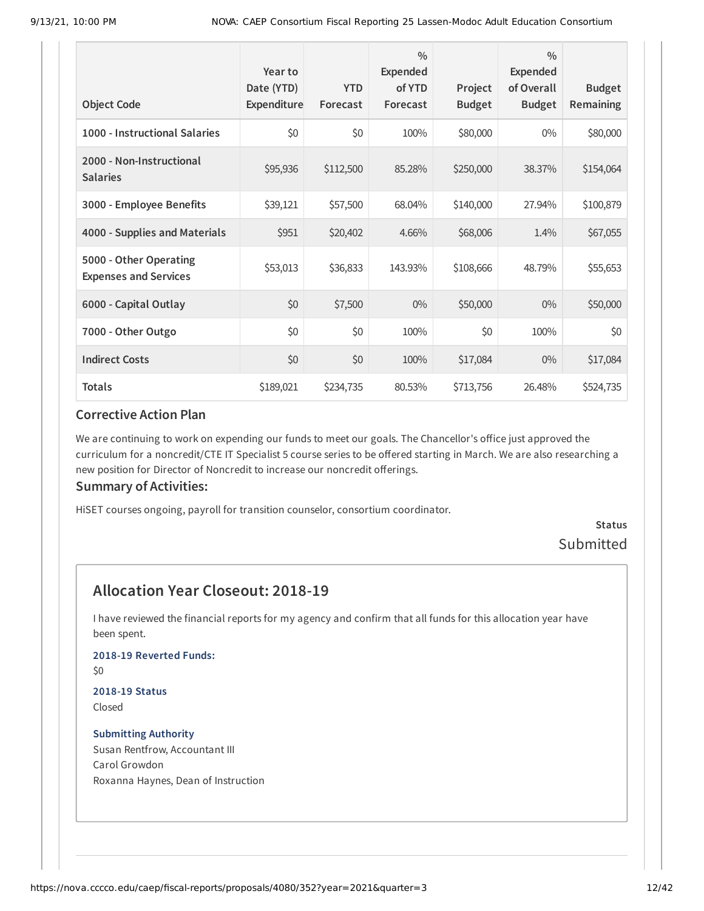| <b>Object Code</b>                                     | Year to<br>Date (YTD)<br>Expenditure | <b>YTD</b><br>Forecast | $\frac{0}{0}$<br><b>Expended</b><br>of YTD<br>Forecast | Project<br><b>Budget</b> | $\frac{0}{0}$<br><b>Expended</b><br>of Overall<br><b>Budget</b> | <b>Budget</b><br>Remaining |
|--------------------------------------------------------|--------------------------------------|------------------------|--------------------------------------------------------|--------------------------|-----------------------------------------------------------------|----------------------------|
| 1000 - Instructional Salaries                          | \$0                                  | \$0                    | 100%                                                   | \$80,000                 | $0\%$                                                           | \$80,000                   |
| 2000 - Non-Instructional<br><b>Salaries</b>            | \$95,936                             | \$112,500              | 85.28%                                                 | \$250,000                | 38.37%                                                          | \$154,064                  |
| 3000 - Employee Benefits                               | \$39,121                             | \$57,500               | 68.04%                                                 | \$140,000                | 27.94%                                                          | \$100,879                  |
| 4000 - Supplies and Materials                          | \$951                                | \$20,402               | 4.66%                                                  | \$68,006                 | 1.4%                                                            | \$67,055                   |
| 5000 - Other Operating<br><b>Expenses and Services</b> | \$53,013                             | \$36,833               | 143.93%                                                | \$108,666                | 48.79%                                                          | \$55,653                   |
| 6000 - Capital Outlay                                  | \$0                                  | \$7,500                | 0%                                                     | \$50,000                 | $0\%$                                                           | \$50,000                   |
| 7000 - Other Outgo                                     | \$0                                  | \$0                    | 100%                                                   | \$0                      | 100%                                                            | \$0                        |
| <b>Indirect Costs</b>                                  | \$0                                  | \$0                    | 100%                                                   | \$17,084                 | $0\%$                                                           | \$17,084                   |
| <b>Totals</b>                                          | \$189,021                            | \$234,735              | 80.53%                                                 | \$713,756                | 26.48%                                                          | \$524,735                  |

We are continuing to work on expending our funds to meet our goals. The Chancellor's office just approved the curriculum for a noncredit/CTE IT Specialist 5 course series to be offered starting in March. We are also researching a new position for Director of Noncredit to increase our noncredit offerings.

#### **Summary of Activities:**

HiSET courses ongoing, payroll for transition counselor, consortium coordinator.

### **Status** Submitted

## **Allocation Year Closeout: 2018-19**

I have reviewed the financial reports for my agency and confirm that all funds for this allocation year have been spent.

#### **2018-19 Reverted Funds:**

\$0

#### **2018-19 Status** Closed

#### **Submitting Authority** Susan Rentfrow, Accountant III Carol Growdon Roxanna Haynes, Dean of Instruction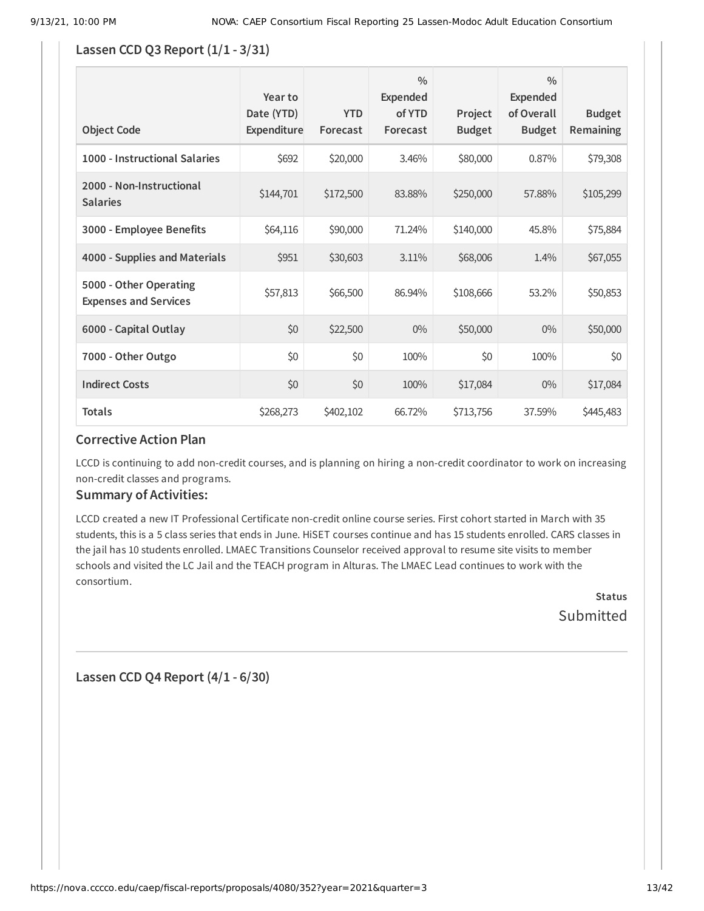#### **Lassen CCD Q3 Report (1/1 - 3/31)**

| <b>Object Code</b>                                     | Year to<br>Date (YTD)<br>Expenditure | <b>YTD</b><br>Forecast | $\frac{0}{0}$<br>Expended<br>of YTD<br>Forecast | Project<br><b>Budget</b> | $\frac{0}{0}$<br>Expended<br>of Overall<br><b>Budget</b> | <b>Budget</b><br>Remaining |
|--------------------------------------------------------|--------------------------------------|------------------------|-------------------------------------------------|--------------------------|----------------------------------------------------------|----------------------------|
| 1000 - Instructional Salaries                          | \$692                                | \$20,000               | 3.46%                                           | \$80,000                 | 0.87%                                                    | \$79,308                   |
| 2000 - Non-Instructional<br><b>Salaries</b>            | \$144,701                            | \$172,500              | 83.88%                                          | \$250,000                | 57.88%                                                   | \$105,299                  |
| 3000 - Employee Benefits                               | \$64,116                             | \$90,000               | 71.24%                                          | \$140,000                | 45.8%                                                    | \$75,884                   |
| 4000 - Supplies and Materials                          | \$951                                | \$30,603               | 3.11%                                           | \$68,006                 | 1.4%                                                     | \$67,055                   |
| 5000 - Other Operating<br><b>Expenses and Services</b> | \$57,813                             | \$66,500               | 86.94%                                          | \$108,666                | 53.2%                                                    | \$50,853                   |
| 6000 - Capital Outlay                                  | \$0                                  | \$22,500               | $0\%$                                           | \$50,000                 | $0\%$                                                    | \$50,000                   |
| 7000 - Other Outgo                                     | \$0                                  | \$0                    | 100%                                            | \$0                      | 100%                                                     | \$0                        |
| <b>Indirect Costs</b>                                  | \$0                                  | \$0                    | 100%                                            | \$17,084                 | $0\%$                                                    | \$17,084                   |
| <b>Totals</b>                                          | \$268,273                            | \$402,102              | 66.72%                                          | \$713,756                | 37.59%                                                   | \$445,483                  |

#### **Corrective Action Plan**

LCCD is continuing to add non-credit courses, and is planning on hiring a non-credit coordinator to work on increasing non-credit classes and programs.

#### **Summary of Activities:**

LCCD created a new IT Professional Certificate non-credit online course series. First cohort started in March with 35 students, this is a 5 class series that ends in June. HiSET courses continue and has 15 students enrolled. CARS classes in the jail has 10 students enrolled. LMAEC Transitions Counselor received approval to resume site visits to member schools and visited the LC Jail and the TEACH program in Alturas. The LMAEC Lead continues to work with the consortium.

> **Status Submitted**

**Lassen CCD Q4 Report (4/1 - 6/30)**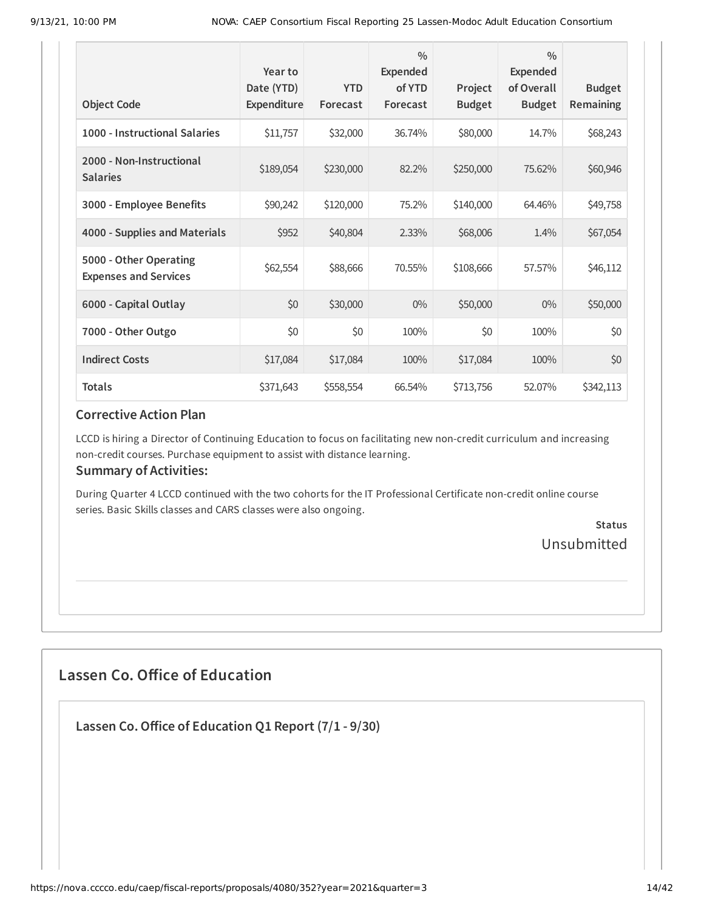| <b>Object Code</b>                                     | Year to<br>Date (YTD)<br>Expenditure | <b>YTD</b><br>Forecast | $\frac{0}{0}$<br><b>Expended</b><br>of YTD<br>Forecast | Project<br><b>Budget</b> | $\frac{0}{0}$<br><b>Expended</b><br>of Overall<br><b>Budget</b> | <b>Budget</b><br>Remaining |
|--------------------------------------------------------|--------------------------------------|------------------------|--------------------------------------------------------|--------------------------|-----------------------------------------------------------------|----------------------------|
| 1000 - Instructional Salaries                          | \$11,757                             | \$32,000               | 36.74%                                                 | \$80,000                 | 14.7%                                                           | \$68,243                   |
| 2000 - Non-Instructional<br><b>Salaries</b>            | \$189,054                            | \$230,000              | 82.2%                                                  | \$250,000                | 75.62%                                                          | \$60,946                   |
| 3000 - Employee Benefits                               | \$90,242                             | \$120,000              | 75.2%                                                  | \$140,000                | 64.46%                                                          | \$49,758                   |
| 4000 - Supplies and Materials                          | \$952                                | \$40,804               | 2.33%                                                  | \$68,006                 | 1.4%                                                            | \$67,054                   |
| 5000 - Other Operating<br><b>Expenses and Services</b> | \$62,554                             | \$88,666               | 70.55%                                                 | \$108,666                | 57.57%                                                          | \$46,112                   |
| 6000 - Capital Outlay                                  | \$0                                  | \$30,000               | $0\%$                                                  | \$50,000                 | $0\%$                                                           | \$50,000                   |
| 7000 - Other Outgo                                     | \$0                                  | \$0                    | 100%                                                   | \$0                      | 100%                                                            | \$0                        |
| <b>Indirect Costs</b>                                  | \$17,084                             | \$17,084               | 100%                                                   | \$17,084                 | 100%                                                            | \$0                        |
| <b>Totals</b>                                          | \$371,643                            | \$558,554              | 66.54%                                                 | \$713,756                | 52.07%                                                          | \$342,113                  |

LCCD is hiring a Director of Continuing Education to focus on facilitating new non-credit curriculum and increasing non-credit courses. Purchase equipment to assist with distance learning.

#### **Summary of Activities:**

During Quarter 4 LCCD continued with the two cohorts for the IT Professional Certificate non-credit online course series. Basic Skills classes and CARS classes were also ongoing.

> **Status** Unsubmitted

## **Lassen Co. Office of Education**

**Lassen Co.Office of Education Q1 Report (7/1 - 9/30)**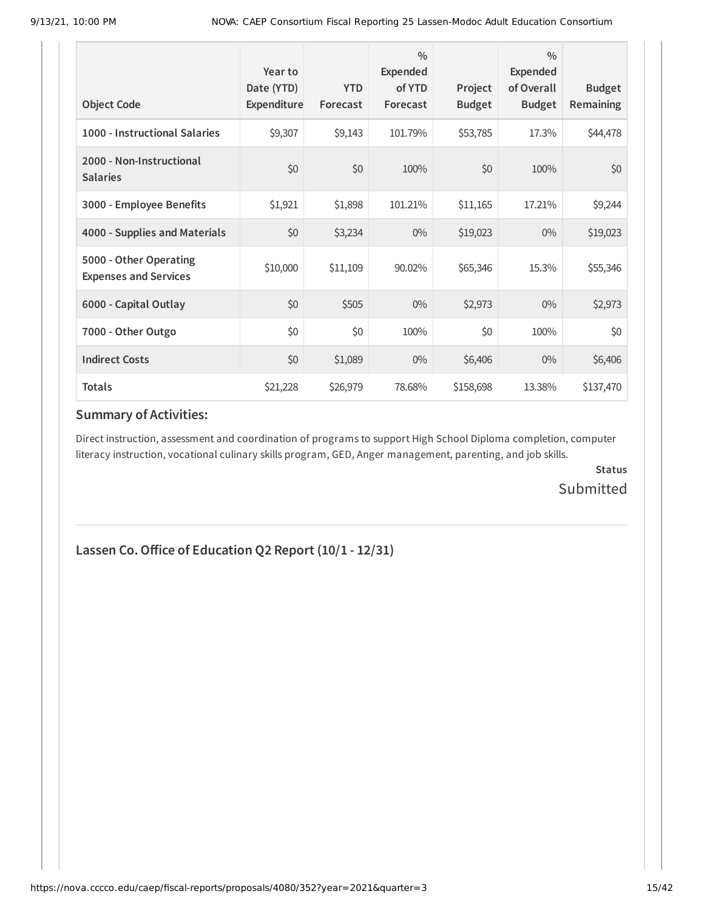| <b>Object Code</b>                                     | Year to<br>Date (YTD)<br>Expenditure | <b>YTD</b><br>Forecast | $\frac{0}{0}$<br>Expended<br>of YTD<br>Forecast | Project<br><b>Budget</b> | $\frac{0}{0}$<br><b>Expended</b><br>of Overall<br><b>Budget</b> | <b>Budget</b><br><b>Remaining</b> |
|--------------------------------------------------------|--------------------------------------|------------------------|-------------------------------------------------|--------------------------|-----------------------------------------------------------------|-----------------------------------|
| 1000 - Instructional Salaries                          | \$9,307                              | \$9,143                | 101.79%                                         | \$53,785                 | 17.3%                                                           | \$44,478                          |
| 2000 - Non-Instructional<br><b>Salaries</b>            | \$0                                  | \$0                    | 100%                                            | \$0                      | 100%                                                            | \$0                               |
| 3000 - Employee Benefits                               | \$1,921                              | \$1,898                | 101.21%                                         | \$11,165                 | 17.21%                                                          | \$9,244                           |
| 4000 - Supplies and Materials                          | \$0                                  | \$3,234                | $0\%$                                           | \$19,023                 | $0\%$                                                           | \$19,023                          |
| 5000 - Other Operating<br><b>Expenses and Services</b> | \$10,000                             | \$11,109               | 90.02%                                          | \$65,346                 | 15.3%                                                           | \$55,346                          |
| 6000 - Capital Outlay                                  | \$0                                  | \$505                  | $0\%$                                           | \$2,973                  | $0\%$                                                           | \$2,973                           |
| 7000 - Other Outgo                                     | \$0                                  | \$0                    | 100%                                            | \$0                      | 100%                                                            | \$0                               |
| <b>Indirect Costs</b>                                  | \$0                                  | \$1,089                | $0\%$                                           | \$6,406                  | $0\%$                                                           | \$6,406                           |
| <b>Totals</b>                                          | \$21,228                             | \$26,979               | 78.68%                                          | \$158,698                | 13.38%                                                          | \$137,470                         |

Direct instruction, assessment and coordination of programs to support High School Diploma completion, computer literacy instruction, vocational culinary skills program, GED, Anger management, parenting, and job skills.

> **Status** Submitted

### **Lassen Co.Office of Education Q2 Report (10/1 - 12/31)**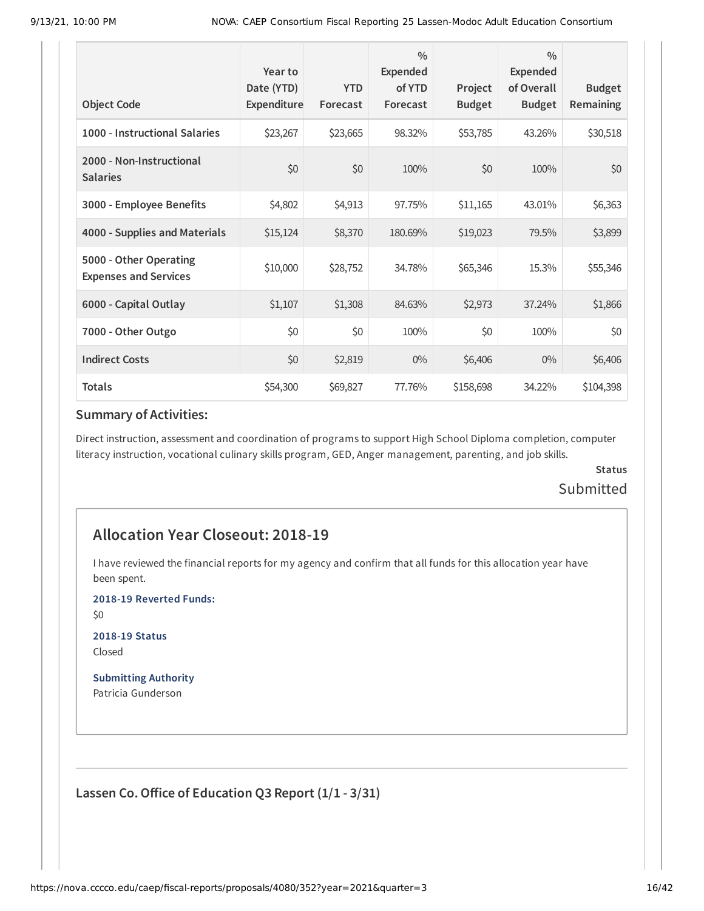| <b>Object Code</b>                                     | Year to<br>Date (YTD)<br>Expenditure | <b>YTD</b><br>Forecast | $\frac{0}{0}$<br><b>Expended</b><br>of YTD<br>Forecast | Project<br><b>Budget</b> | $\frac{0}{0}$<br>Expended<br>of Overall<br><b>Budget</b> | <b>Budget</b><br>Remaining |
|--------------------------------------------------------|--------------------------------------|------------------------|--------------------------------------------------------|--------------------------|----------------------------------------------------------|----------------------------|
| 1000 - Instructional Salaries                          | \$23,267                             | \$23,665               | 98.32%                                                 | \$53,785                 | 43.26%                                                   | \$30,518                   |
| 2000 - Non-Instructional<br><b>Salaries</b>            | \$0                                  | \$0                    | 100%                                                   | \$0                      | 100%                                                     | \$0                        |
| 3000 - Employee Benefits                               | \$4,802                              | \$4,913                | 97.75%                                                 | \$11,165                 | 43.01%                                                   | \$6,363                    |
| 4000 - Supplies and Materials                          | \$15,124                             | \$8,370                | 180.69%                                                | \$19,023                 | 79.5%                                                    | \$3,899                    |
| 5000 - Other Operating<br><b>Expenses and Services</b> | \$10,000                             | \$28,752               | 34.78%                                                 | \$65,346                 | 15.3%                                                    | \$55,346                   |
| 6000 - Capital Outlay                                  | \$1,107                              | \$1,308                | 84.63%                                                 | \$2,973                  | 37.24%                                                   | \$1,866                    |
| 7000 - Other Outgo                                     | \$0                                  | \$0                    | 100%                                                   | \$0                      | 100%                                                     | \$0                        |
| <b>Indirect Costs</b>                                  | \$0                                  | \$2,819                | $0\%$                                                  | \$6,406                  | $0\%$                                                    | \$6,406                    |
| <b>Totals</b>                                          | \$54,300                             | \$69,827               | 77.76%                                                 | \$158,698                | 34.22%                                                   | \$104,398                  |

Direct instruction, assessment and coordination of programs to support High School Diploma completion, computer literacy instruction, vocational culinary skills program, GED, Anger management, parenting, and job skills.

### **Status** Submitted

## **Allocation Year Closeout: 2018-19**

I have reviewed the financial reports for my agency and confirm that all funds for this allocation year have been spent.

**2018-19 Reverted Funds:**

\$0

**2018-19 Status** Closed

**Submitting Authority** Patricia Gunderson

**Lassen Co.Office of Education Q3 Report (1/1 - 3/31)**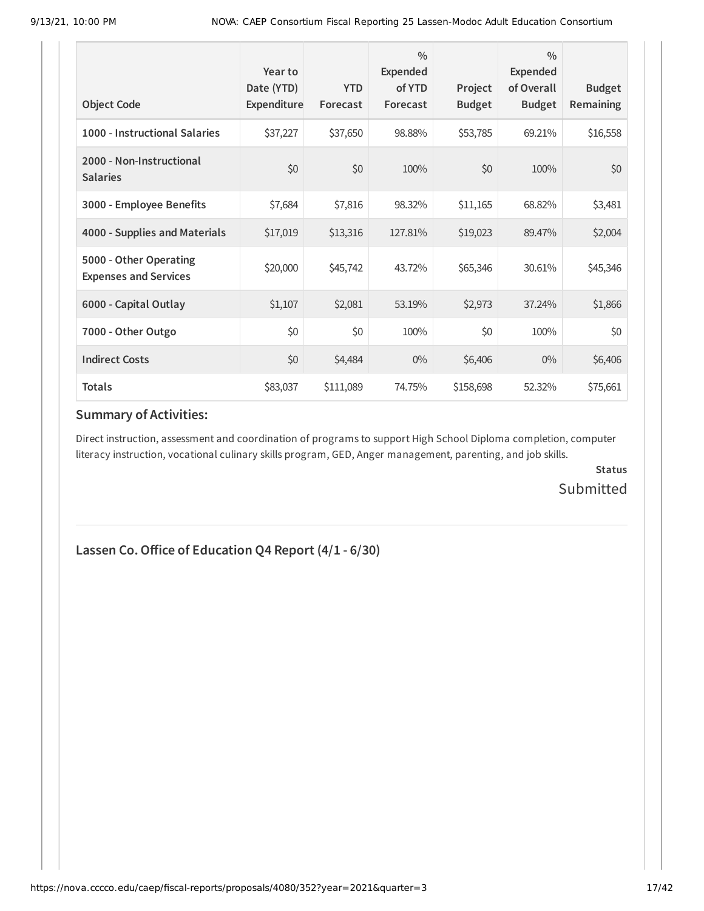| <b>Object Code</b>                                     | Year to<br>Date (YTD)<br>Expenditure | <b>YTD</b><br>Forecast | $\frac{0}{0}$<br>Expended<br>of YTD<br>Forecast | Project<br><b>Budget</b> | $\frac{0}{0}$<br><b>Expended</b><br>of Overall<br><b>Budget</b> | <b>Budget</b><br>Remaining |
|--------------------------------------------------------|--------------------------------------|------------------------|-------------------------------------------------|--------------------------|-----------------------------------------------------------------|----------------------------|
| 1000 - Instructional Salaries                          | \$37,227                             | \$37,650               | 98.88%                                          | \$53,785                 | 69.21%                                                          | \$16,558                   |
| 2000 - Non-Instructional<br><b>Salaries</b>            | \$0                                  | \$0                    | 100%                                            | \$0                      | 100%                                                            | \$0                        |
| 3000 - Employee Benefits                               | \$7,684                              | \$7,816                | 98.32%                                          | \$11,165                 | 68.82%                                                          | \$3,481                    |
| 4000 - Supplies and Materials                          | \$17,019                             | \$13,316               | 127.81%                                         | \$19,023                 | 89.47%                                                          | \$2,004                    |
| 5000 - Other Operating<br><b>Expenses and Services</b> | \$20,000                             | \$45,742               | 43.72%                                          | \$65,346                 | 30.61%                                                          | \$45,346                   |
| 6000 - Capital Outlay                                  | \$1,107                              | \$2,081                | 53.19%                                          | \$2,973                  | 37.24%                                                          | \$1,866                    |
| 7000 - Other Outgo                                     | \$0                                  | \$0                    | 100%                                            | \$0                      | 100%                                                            | \$0                        |
| <b>Indirect Costs</b>                                  | \$0                                  | \$4,484                | $0\%$                                           | \$6,406                  | $0\%$                                                           | \$6,406                    |
| <b>Totals</b>                                          | \$83,037                             | \$111,089              | 74.75%                                          | \$158,698                | 52.32%                                                          | \$75,661                   |

Direct instruction, assessment and coordination of programs to support High School Diploma completion, computer literacy instruction, vocational culinary skills program, GED, Anger management, parenting, and job skills.

> **Status** Submitted

## **Lassen Co.Office of Education Q4 Report (4/1 - 6/30)**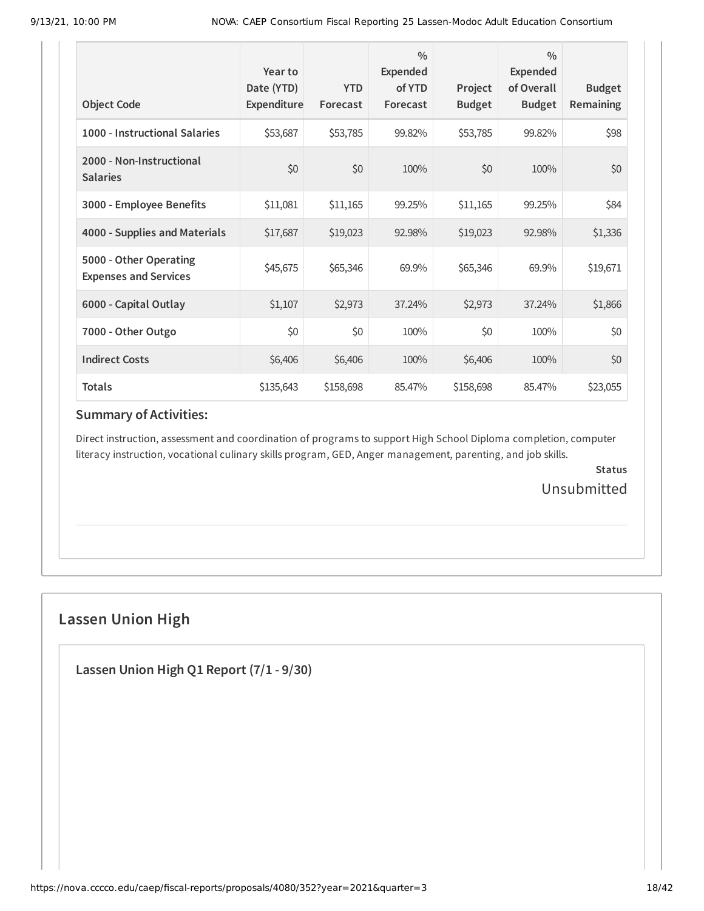| <b>Object Code</b>                                     | Year to<br>Date (YTD)<br>Expenditure | <b>YTD</b><br>Forecast | $\frac{0}{0}$<br>Expended<br>of YTD<br>Forecast | Project<br><b>Budget</b> | $\frac{0}{0}$<br><b>Expended</b><br>of Overall<br><b>Budget</b> | <b>Budget</b><br><b>Remaining</b> |
|--------------------------------------------------------|--------------------------------------|------------------------|-------------------------------------------------|--------------------------|-----------------------------------------------------------------|-----------------------------------|
| 1000 - Instructional Salaries                          | \$53,687                             | \$53,785               | 99.82%                                          | \$53,785                 | 99.82%                                                          | \$98                              |
| 2000 - Non-Instructional<br><b>Salaries</b>            | \$0                                  | \$0                    | 100%                                            | \$0                      | 100%                                                            | \$0                               |
| 3000 - Employee Benefits                               | \$11,081                             | \$11,165               | 99.25%                                          | \$11,165                 | 99.25%                                                          | \$84                              |
| 4000 - Supplies and Materials                          | \$17,687                             | \$19,023               | 92.98%                                          | \$19,023                 | 92.98%                                                          | \$1,336                           |
| 5000 - Other Operating<br><b>Expenses and Services</b> | \$45,675                             | \$65,346               | 69.9%                                           | \$65,346                 | 69.9%                                                           | \$19,671                          |
| 6000 - Capital Outlay                                  | \$1,107                              | \$2,973                | 37.24%                                          | \$2,973                  | 37.24%                                                          | \$1,866                           |
| 7000 - Other Outgo                                     | \$0                                  | \$0                    | 100%                                            | \$0                      | 100%                                                            | \$0                               |
| <b>Indirect Costs</b>                                  | \$6,406                              | \$6,406                | 100%                                            | \$6,406                  | 100%                                                            | \$0                               |
| <b>Totals</b>                                          | \$135,643                            | \$158,698              | 85.47%                                          | \$158,698                | 85.47%                                                          | \$23,055                          |

Direct instruction, assessment and coordination of programs to support High School Diploma completion, computer literacy instruction, vocational culinary skills program, GED, Anger management, parenting, and job skills.

> **Status** Unsubmitted

## **Lassen Union High**

**Lassen Union High Q1 Report (7/1 - 9/30)**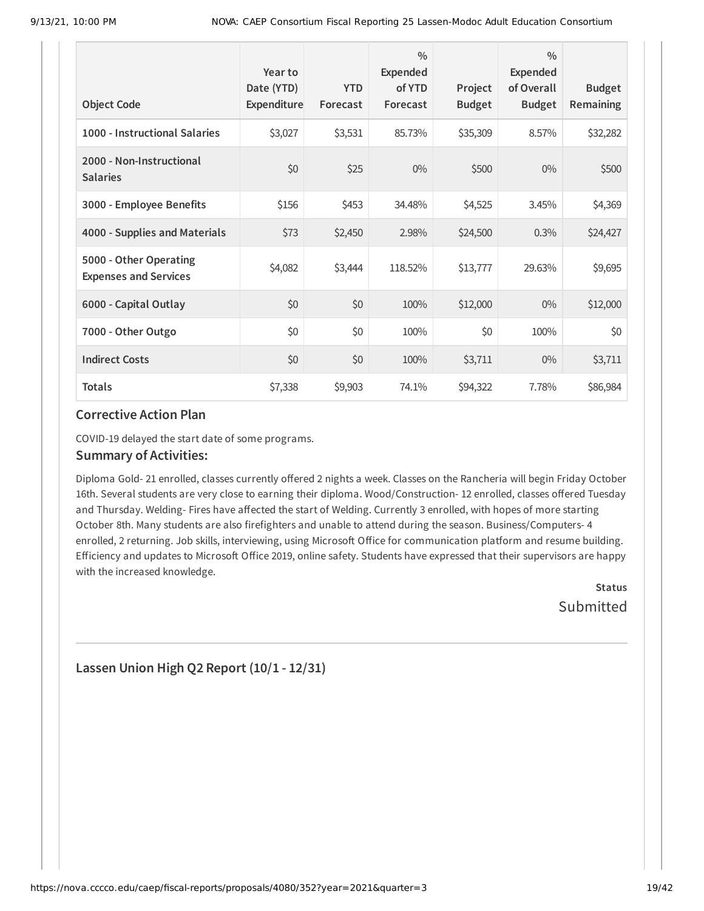| <b>Object Code</b>                                     | Year to<br>Date (YTD)<br>Expenditure | <b>YTD</b><br>Forecast | $\frac{0}{0}$<br>Expended<br>of YTD<br>Forecast | Project<br><b>Budget</b> | $\frac{0}{0}$<br><b>Expended</b><br>of Overall<br><b>Budget</b> | <b>Budget</b><br><b>Remaining</b> |
|--------------------------------------------------------|--------------------------------------|------------------------|-------------------------------------------------|--------------------------|-----------------------------------------------------------------|-----------------------------------|
| 1000 - Instructional Salaries                          | \$3,027                              | \$3,531                | 85.73%                                          | \$35,309                 | 8.57%                                                           | \$32,282                          |
| 2000 - Non-Instructional<br><b>Salaries</b>            | \$0                                  | \$25                   | $0\%$                                           | \$500                    | $0\%$                                                           | \$500                             |
| 3000 - Employee Benefits                               | \$156                                | \$453                  | 34.48%                                          | \$4,525                  | 3.45%                                                           | \$4,369                           |
| 4000 - Supplies and Materials                          | \$73                                 | \$2,450                | 2.98%                                           | \$24,500                 | 0.3%                                                            | \$24,427                          |
| 5000 - Other Operating<br><b>Expenses and Services</b> | \$4,082                              | \$3,444                | 118.52%                                         | \$13,777                 | 29.63%                                                          | \$9,695                           |
| 6000 - Capital Outlay                                  | \$0                                  | \$0                    | 100%                                            | \$12,000                 | $0\%$                                                           | \$12,000                          |
| 7000 - Other Outgo                                     | \$0                                  | \$0                    | 100%                                            | \$0                      | 100%                                                            | \$0                               |
| <b>Indirect Costs</b>                                  | \$0                                  | \$0                    | 100%                                            | \$3,711                  | $0\%$                                                           | \$3,711                           |
| <b>Totals</b>                                          | \$7,338                              | \$9,903                | 74.1%                                           | \$94,322                 | 7.78%                                                           | \$86,984                          |

COVID-19 delayed the start date of some programs.

#### **Summary of Activities:**

Diploma Gold- 21 enrolled, classes currently offered 2 nights a week. Classes on the Rancheria will begin Friday October 16th. Several students are very close to earning their diploma. Wood/Construction- 12 enrolled, classes offered Tuesday and Thursday. Welding- Fires have affected the start of Welding. Currently 3 enrolled, with hopes of more starting October 8th. Many students are also firefighters and unable to attend during the season. Business/Computers- 4 enrolled, 2 returning. Job skills, interviewing, using Microsoft Office for communication platform and resume building. Efficiency and updates to Microsoft Office 2019, online safety. Students have expressed that their supervisors are happy with the increased knowledge.

> **Status Submitted**

**Lassen Union High Q2 Report (10/1 - 12/31)**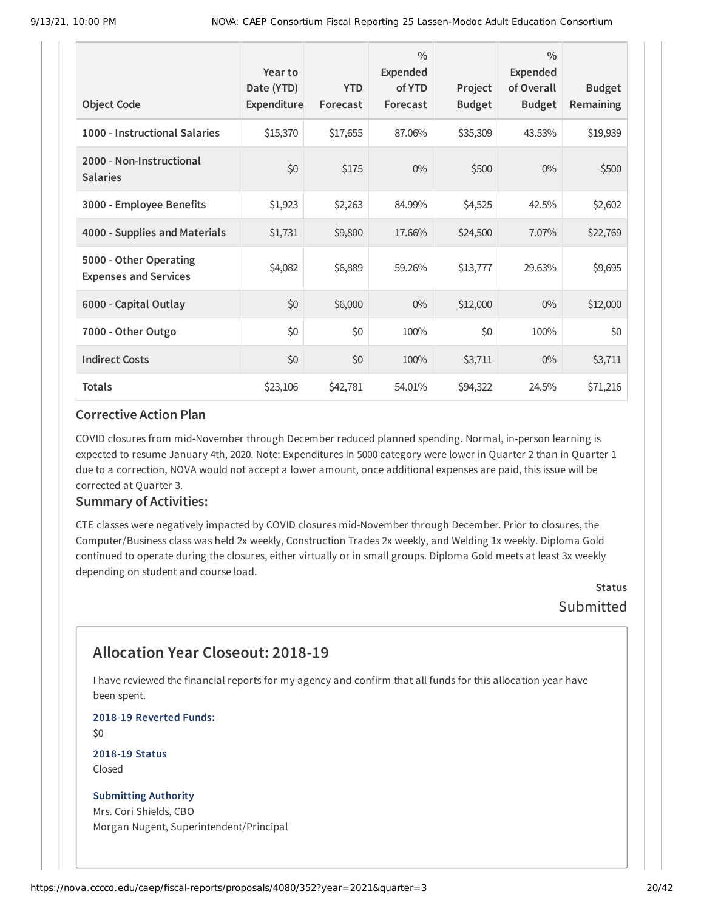| <b>Object Code</b>                                     | Year to<br>Date (YTD)<br>Expenditure | <b>YTD</b><br>Forecast | $\frac{0}{0}$<br><b>Expended</b><br>of YTD<br>Forecast | Project<br><b>Budget</b> | $\frac{0}{0}$<br>Expended<br>of Overall<br><b>Budget</b> | <b>Budget</b><br>Remaining |
|--------------------------------------------------------|--------------------------------------|------------------------|--------------------------------------------------------|--------------------------|----------------------------------------------------------|----------------------------|
| 1000 - Instructional Salaries                          | \$15,370                             | \$17,655               | 87.06%                                                 | \$35,309                 | 43.53%                                                   | \$19,939                   |
| 2000 - Non-Instructional<br><b>Salaries</b>            | \$0                                  | \$175                  | $0\%$                                                  | \$500                    | $0\%$                                                    | \$500                      |
| 3000 - Employee Benefits                               | \$1,923                              | \$2,263                | 84.99%                                                 | \$4,525                  | 42.5%                                                    | \$2,602                    |
| 4000 - Supplies and Materials                          | \$1,731                              | \$9,800                | 17.66%                                                 | \$24,500                 | 7.07%                                                    | \$22,769                   |
| 5000 - Other Operating<br><b>Expenses and Services</b> | \$4,082                              | \$6,889                | 59.26%                                                 | \$13,777                 | 29.63%                                                   | \$9,695                    |
| 6000 - Capital Outlay                                  | \$0                                  | \$6,000                | $0\%$                                                  | \$12,000                 | $0\%$                                                    | \$12,000                   |
| 7000 - Other Outgo                                     | \$0                                  | \$0                    | 100%                                                   | \$0                      | 100%                                                     | \$0                        |
| <b>Indirect Costs</b>                                  | \$0                                  | \$0                    | 100%                                                   | \$3,711                  | $0\%$                                                    | \$3,711                    |
| <b>Totals</b>                                          | \$23,106                             | \$42,781               | 54.01%                                                 | \$94,322                 | 24.5%                                                    | \$71,216                   |

COVID closures from mid-November through December reduced planned spending. Normal, in-person learning is expected to resume January 4th, 2020. Note: Expenditures in 5000 category were lower in Quarter 2 than in Quarter 1 due to a correction, NOVA would not accept a lower amount, once additional expenses are paid, this issue will be corrected at Quarter 3.

#### **Summary of Activities:**

CTE classes were negatively impacted by COVID closures mid-November through December. Prior to closures, the Computer/Business class was held 2x weekly, Construction Trades 2x weekly, and Welding 1x weekly. Diploma Gold continued to operate during the closures, either virtually or in small groups. Diploma Gold meets at least 3x weekly depending on student and course load.

> **Status Submitted**

## **Allocation Year Closeout: 2018-19**

I have reviewed the financial reports for my agency and confirm that all funds for this allocation year have been spent.

**2018-19 Reverted Funds:**

\$0

**2018-19 Status** Closed

#### **Submitting Authority**

Mrs. Cori Shields, CBO Morgan Nugent, Superintendent/Principal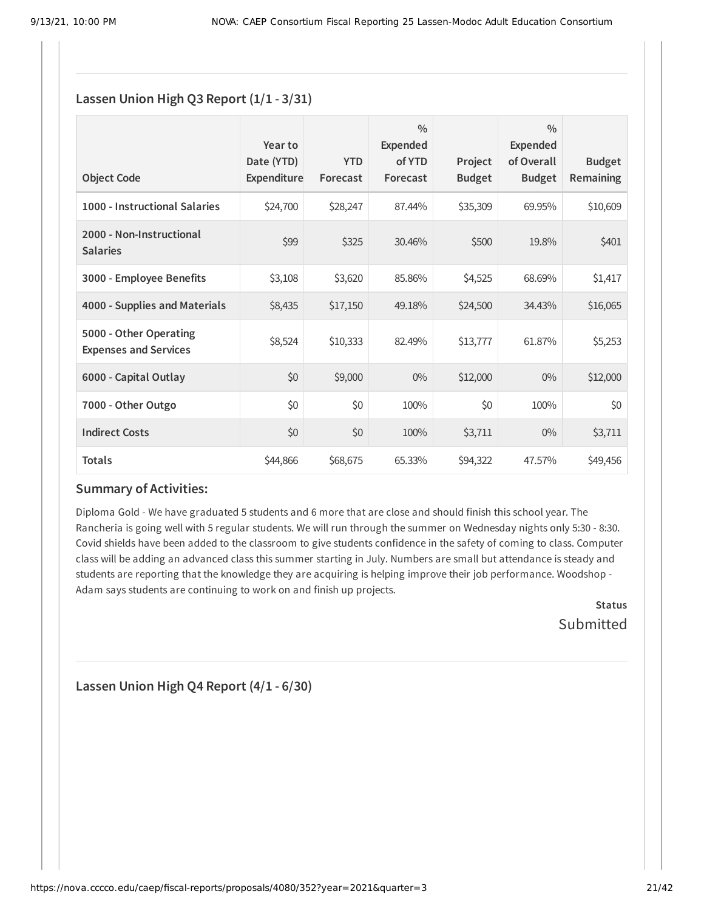### **Lassen Union High Q3 Report (1/1 - 3/31)**

| <b>Object Code</b>                                     | Year to<br>Date (YTD)<br>Expenditure | <b>YTD</b><br>Forecast | $\frac{0}{0}$<br>Expended<br>of YTD<br>Forecast | Project<br><b>Budget</b> | $\frac{0}{0}$<br><b>Expended</b><br>of Overall<br><b>Budget</b> | <b>Budget</b><br>Remaining |
|--------------------------------------------------------|--------------------------------------|------------------------|-------------------------------------------------|--------------------------|-----------------------------------------------------------------|----------------------------|
| 1000 - Instructional Salaries                          | \$24,700                             | \$28,247               | 87.44%                                          | \$35,309                 | 69.95%                                                          | \$10,609                   |
| 2000 - Non-Instructional<br><b>Salaries</b>            | \$99                                 | \$325                  | 30.46%                                          | \$500                    | 19.8%                                                           | \$401                      |
| 3000 - Employee Benefits                               | \$3,108                              | \$3,620                | 85.86%                                          | \$4,525                  | 68.69%                                                          | \$1,417                    |
| 4000 - Supplies and Materials                          | \$8,435                              | \$17,150               | 49.18%                                          | \$24,500                 | 34.43%                                                          | \$16,065                   |
| 5000 - Other Operating<br><b>Expenses and Services</b> | \$8,524                              | \$10,333               | 82.49%                                          | \$13,777                 | 61.87%                                                          | \$5,253                    |
| 6000 - Capital Outlay                                  | \$0                                  | \$9,000                | $0\%$                                           | \$12,000                 | $0\%$                                                           | \$12,000                   |
| 7000 - Other Outgo                                     | \$0                                  | \$0                    | 100%                                            | \$0                      | 100%                                                            | \$0                        |
| <b>Indirect Costs</b>                                  | \$0                                  | \$0                    | 100%                                            | \$3,711                  | $0\%$                                                           | \$3,711                    |
| <b>Totals</b>                                          | \$44,866                             | \$68,675               | 65.33%                                          | \$94,322                 | 47.57%                                                          | \$49,456                   |

### **Summary of Activities:**

Diploma Gold - We have graduated 5 students and 6 more that are close and should finish this school year. The Rancheria is going well with 5 regular students. We will run through the summer on Wednesday nights only 5:30 - 8:30. Covid shields have been added to the classroom to give students confidence in the safety of coming to class. Computer class will be adding an advanced class this summer starting in July. Numbers are small but attendance is steady and students are reporting that the knowledge they are acquiring is helping improve their job performance. Woodshop - Adam says students are continuing to work on and finish up projects.

> **Status** Submitted

**Lassen Union High Q4 Report (4/1 - 6/30)**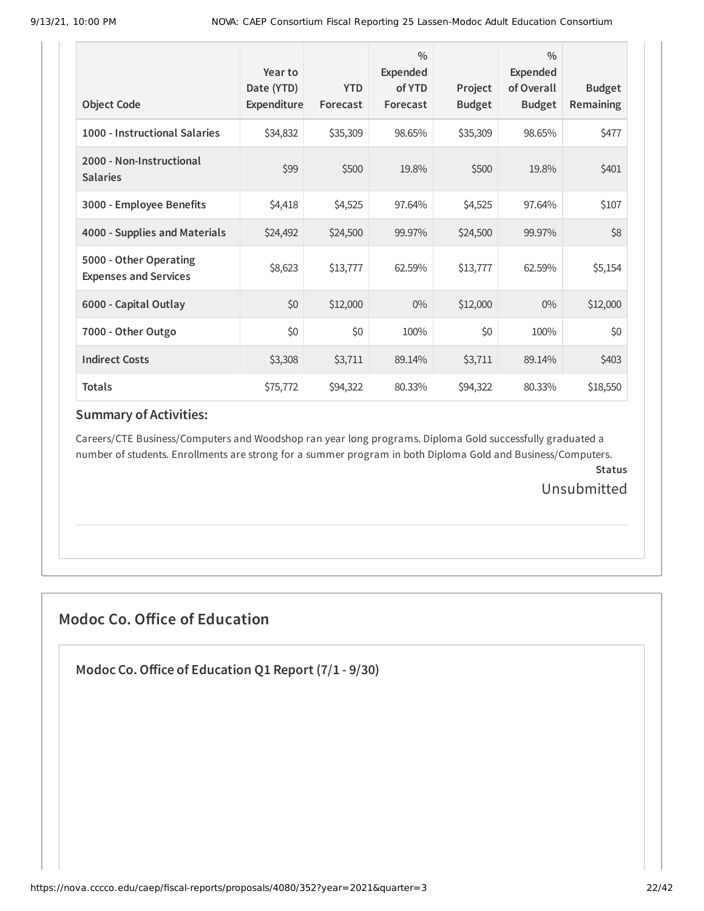| <b>Object Code</b>                                     | Year to<br>Date (YTD)<br>Expenditure | <b>YTD</b><br>Forecast | $\frac{0}{0}$<br><b>Expended</b><br>of YTD<br>Forecast | Project<br><b>Budget</b> | $\frac{0}{0}$<br><b>Expended</b><br>of Overall<br><b>Budget</b> | <b>Budget</b><br><b>Remaining</b> |
|--------------------------------------------------------|--------------------------------------|------------------------|--------------------------------------------------------|--------------------------|-----------------------------------------------------------------|-----------------------------------|
| 1000 - Instructional Salaries                          | \$34,832                             | \$35,309               | 98.65%                                                 | \$35,309                 | 98.65%                                                          | \$477                             |
| 2000 - Non-Instructional<br><b>Salaries</b>            | \$99                                 | \$500                  | 19.8%                                                  | \$500                    | 19.8%                                                           | \$401                             |
| 3000 - Employee Benefits                               | \$4,418                              | \$4,525                | 97.64%                                                 | \$4,525                  | 97.64%                                                          | \$107                             |
| 4000 - Supplies and Materials                          | \$24,492                             | \$24,500               | 99.97%                                                 | \$24,500                 | 99.97%                                                          | \$8                               |
| 5000 - Other Operating<br><b>Expenses and Services</b> | \$8,623                              | \$13,777               | 62.59%                                                 | \$13,777                 | 62.59%                                                          | \$5,154                           |
| 6000 - Capital Outlay                                  | \$0                                  | \$12,000               | $0\%$                                                  | \$12,000                 | $0\%$                                                           | \$12,000                          |
| 7000 - Other Outgo                                     | \$0                                  | \$0                    | 100%                                                   | \$0                      | 100%                                                            | \$0                               |
| <b>Indirect Costs</b>                                  | \$3,308                              | \$3,711                | 89.14%                                                 | \$3,711                  | 89.14%                                                          | \$403                             |
| <b>Totals</b>                                          | \$75,772                             | \$94,322               | 80.33%                                                 | \$94,322                 | 80.33%                                                          | \$18,550                          |

Careers/CTE Business/Computers and Woodshop ran year long programs. Diploma Gold successfully graduated a number of students. Enrollments are strong for a summer program in both Diploma Gold and Business/Computers.

**Status** Unsubmitted

## **Modoc Co. Office of Education**

**Modoc Co.Office of Education Q1 Report (7/1 - 9/30)**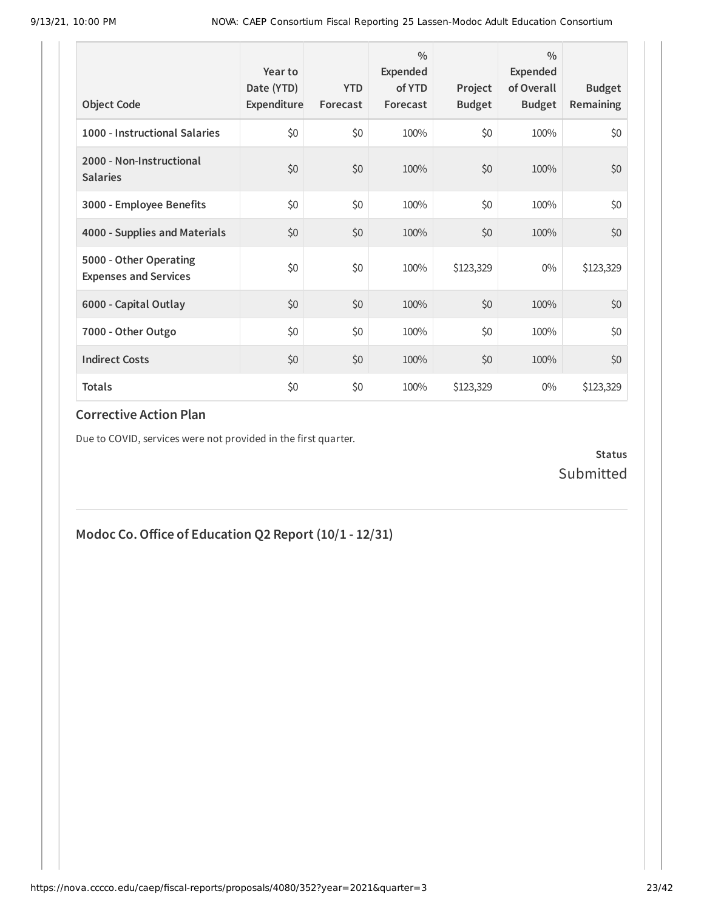| <b>Object Code</b>                                     | Year to<br>Date (YTD)<br>Expenditure | <b>YTD</b><br>Forecast | $\frac{0}{0}$<br>Expended<br>of YTD<br>Forecast | Project<br><b>Budget</b> | $\frac{0}{0}$<br>Expended<br>of Overall<br><b>Budget</b> | <b>Budget</b><br>Remaining |
|--------------------------------------------------------|--------------------------------------|------------------------|-------------------------------------------------|--------------------------|----------------------------------------------------------|----------------------------|
| 1000 - Instructional Salaries                          | \$0                                  | \$0                    | 100%                                            | \$0                      | 100%                                                     | \$0                        |
| 2000 - Non-Instructional<br><b>Salaries</b>            | \$0                                  | \$0                    | 100%                                            | \$0                      | 100%                                                     | \$0                        |
| 3000 - Employee Benefits                               | \$0                                  | \$0                    | 100%                                            | \$0                      | 100%                                                     | \$0                        |
| 4000 - Supplies and Materials                          | \$0                                  | \$0                    | 100%                                            | \$0                      | 100%                                                     | \$0                        |
| 5000 - Other Operating<br><b>Expenses and Services</b> | \$0                                  | \$0                    | 100%                                            | \$123,329                | $0\%$                                                    | \$123,329                  |
| 6000 - Capital Outlay                                  | \$0                                  | \$0                    | 100%                                            | \$0                      | 100%                                                     | \$0                        |
| 7000 - Other Outgo                                     | \$0                                  | \$0                    | 100%                                            | \$0                      | 100%                                                     | \$0                        |
| <b>Indirect Costs</b>                                  | \$0                                  | \$0                    | 100%                                            | \$0                      | 100%                                                     | \$0                        |
| <b>Totals</b>                                          | \$0                                  | \$0                    | 100%                                            | \$123,329                | $0\%$                                                    | \$123,329                  |

Due to COVID, services were not provided in the first quarter.

**Status** Submitted

## **Modoc Co.Office of Education Q2 Report (10/1 - 12/31)**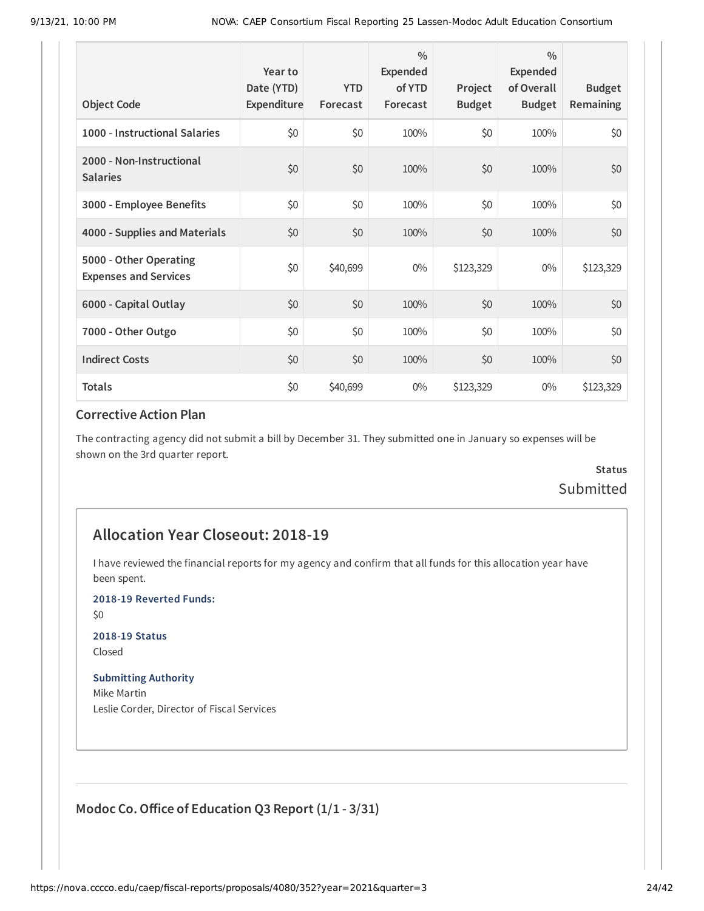| <b>Object Code</b>                                     | Year to<br>Date (YTD)<br>Expenditure | <b>YTD</b><br>Forecast | $\frac{0}{0}$<br>Expended<br>of YTD<br>Forecast | Project<br><b>Budget</b> | $\frac{0}{0}$<br>Expended<br>of Overall<br><b>Budget</b> | <b>Budget</b><br><b>Remaining</b> |
|--------------------------------------------------------|--------------------------------------|------------------------|-------------------------------------------------|--------------------------|----------------------------------------------------------|-----------------------------------|
| 1000 - Instructional Salaries                          | \$0                                  | \$0                    | 100%                                            | \$0                      | 100%                                                     | \$0                               |
| 2000 - Non-Instructional<br><b>Salaries</b>            | \$0                                  | \$0                    | 100%                                            | \$0                      | 100%                                                     | \$0                               |
| 3000 - Employee Benefits                               | \$0                                  | \$0                    | 100%                                            | \$0                      | 100%                                                     | \$0                               |
| 4000 - Supplies and Materials                          | \$0                                  | \$0                    | 100%                                            | \$0                      | 100%                                                     | \$0                               |
| 5000 - Other Operating<br><b>Expenses and Services</b> | \$0                                  | \$40,699               | $0\%$                                           | \$123,329                | $0\%$                                                    | \$123,329                         |
| 6000 - Capital Outlay                                  | \$0                                  | \$0                    | 100%                                            | \$0                      | 100%                                                     | \$0                               |
| 7000 - Other Outgo                                     | \$0                                  | \$0                    | 100%                                            | \$0                      | 100%                                                     | \$0                               |
| <b>Indirect Costs</b>                                  | \$0                                  | \$0                    | 100%                                            | \$0                      | 100%                                                     | \$0                               |
| <b>Totals</b>                                          | \$0                                  | \$40,699               | $0\%$                                           | \$123,329                | $0\%$                                                    | \$123,329                         |

The contracting agency did not submit a bill by December 31. They submitted one in January so expenses will be shown on the 3rd quarter report.

## **Status** Submitted

## **Allocation Year Closeout: 2018-19**

I have reviewed the financial reports for my agency and confirm that all funds for this allocation year have been spent.

**2018-19 Reverted Funds:**

\$0

#### **2018-19 Status**

Closed

#### **Submitting Authority**

Mike Martin Leslie Corder, Director of Fiscal Services

## **Modoc Co.Office of Education Q3 Report (1/1 - 3/31)**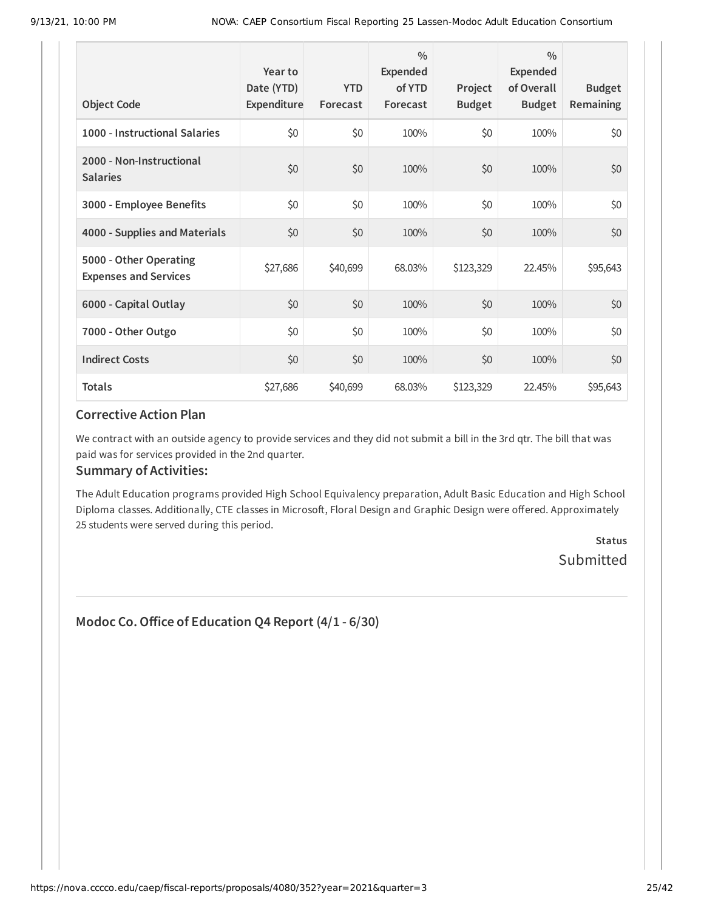| <b>Object Code</b>                                     | Year to<br>Date (YTD)<br>Expenditure | <b>YTD</b><br>Forecast | $\frac{0}{0}$<br>Expended<br>of YTD<br>Forecast | Project<br><b>Budget</b> | $\frac{0}{0}$<br>Expended<br>of Overall<br><b>Budget</b> | <b>Budget</b><br><b>Remaining</b> |
|--------------------------------------------------------|--------------------------------------|------------------------|-------------------------------------------------|--------------------------|----------------------------------------------------------|-----------------------------------|
| 1000 - Instructional Salaries                          | \$0                                  | \$0                    | 100%                                            | \$0                      | 100%                                                     | \$0                               |
| 2000 - Non-Instructional<br><b>Salaries</b>            | \$0                                  | \$0                    | 100%                                            | \$0                      | 100%                                                     | \$0                               |
| 3000 - Employee Benefits                               | \$0                                  | \$0                    | 100%                                            | \$0                      | 100%                                                     | \$0                               |
| 4000 - Supplies and Materials                          | \$0                                  | \$0                    | 100%                                            | \$0                      | 100%                                                     | \$0                               |
| 5000 - Other Operating<br><b>Expenses and Services</b> | \$27,686                             | \$40,699               | 68.03%                                          | \$123,329                | 22.45%                                                   | \$95,643                          |
| 6000 - Capital Outlay                                  | \$0                                  | \$0                    | 100%                                            | \$0                      | 100%                                                     | \$0                               |
| 7000 - Other Outgo                                     | \$0                                  | \$0                    | 100%                                            | \$0                      | 100%                                                     | \$0                               |
| <b>Indirect Costs</b>                                  | \$0                                  | \$0                    | 100%                                            | \$0                      | 100%                                                     | \$0                               |
| <b>Totals</b>                                          | \$27,686                             | \$40,699               | 68.03%                                          | \$123,329                | 22.45%                                                   | \$95,643                          |

We contract with an outside agency to provide services and they did not submit a bill in the 3rd qtr. The bill that was paid was for services provided in the 2nd quarter.

#### **Summary of Activities:**

The Adult Education programs provided High School Equivalency preparation, Adult Basic Education and High School Diploma classes. Additionally, CTE classes in Microsoft, Floral Design and Graphic Design were offered. Approximately 25 students were served during this period.

> **Status** Submitted

## **Modoc Co.Office of Education Q4 Report (4/1 - 6/30)**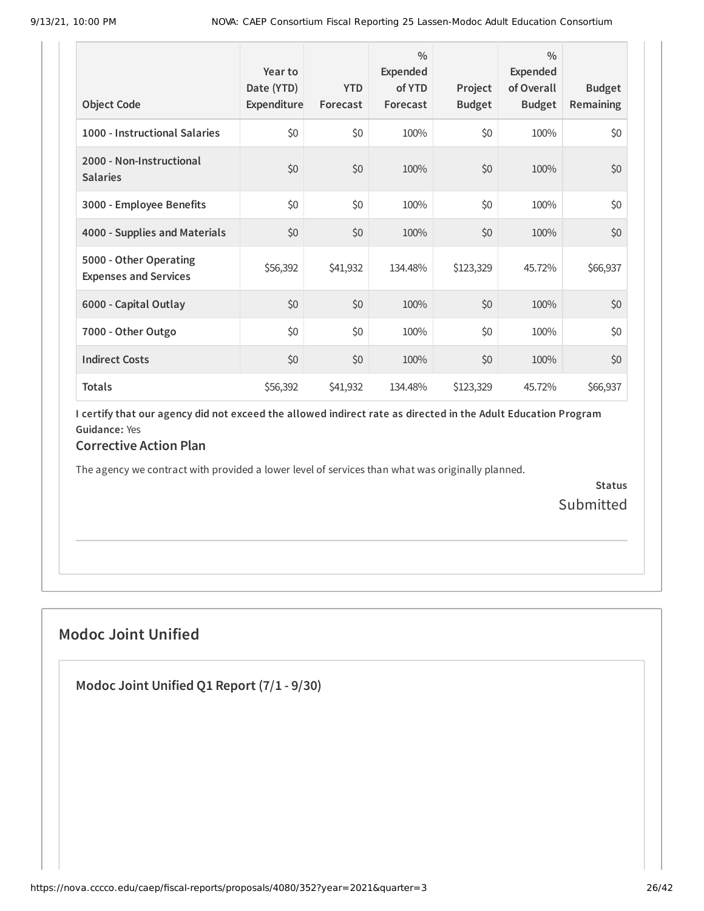| <b>Object Code</b>                                     | Year to<br>Date (YTD)<br>Expenditure | <b>YTD</b><br>Forecast | $\frac{0}{0}$<br>Expended<br>of YTD<br>Forecast | Project<br><b>Budget</b> | $\frac{0}{0}$<br>Expended<br>of Overall<br><b>Budget</b> | <b>Budget</b><br>Remaining |
|--------------------------------------------------------|--------------------------------------|------------------------|-------------------------------------------------|--------------------------|----------------------------------------------------------|----------------------------|
| 1000 - Instructional Salaries                          | \$0                                  | \$0                    | 100%                                            | \$0                      | 100%                                                     | \$0                        |
| 2000 - Non-Instructional<br><b>Salaries</b>            | \$0                                  | \$0                    | 100%                                            | \$0                      | 100%                                                     | \$0                        |
| 3000 - Employee Benefits                               | \$0                                  | \$0                    | 100%                                            | \$0                      | 100%                                                     | \$0                        |
| 4000 - Supplies and Materials                          | \$0                                  | \$0                    | 100%                                            | \$0                      | 100%                                                     | \$0                        |
| 5000 - Other Operating<br><b>Expenses and Services</b> | \$56,392                             | \$41,932               | 134.48%                                         | \$123,329                | 45.72%                                                   | \$66,937                   |
| 6000 - Capital Outlay                                  | \$0                                  | \$0                    | 100%                                            | \$0                      | 100%                                                     | \$0                        |
| 7000 - Other Outgo                                     | \$0                                  | \$0                    | 100%                                            | \$0                      | 100%                                                     | \$0                        |
| <b>Indirect Costs</b>                                  | \$0                                  | \$0                    | 100%                                            | \$0                      | 100%                                                     | \$0                        |
| <b>Totals</b>                                          | \$56,392                             | \$41,932               | 134.48%                                         | \$123,329                | 45.72%                                                   | \$66,937                   |

I certify that our agency did not exceed the allowed indirect rate as directed in the Adult Education Program **Guidance:** Yes

### **Corrective Action Plan**

The agency we contract with provided a lower level of services than what was originally planned.

**Status** Submitted

## **Modoc Joint Unified**

**Modoc Joint Unified Q1 Report (7/1 - 9/30)**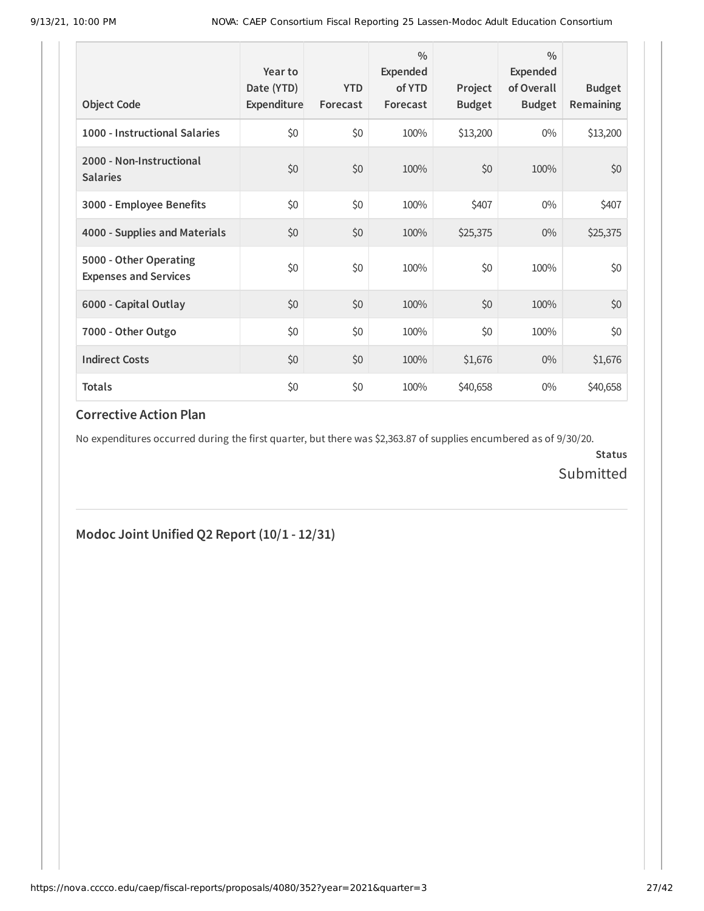| <b>Object Code</b>                                     | Year to<br>Date (YTD)<br>Expenditure | <b>YTD</b><br>Forecast | $\frac{0}{0}$<br>Expended<br>of YTD<br>Forecast | Project<br><b>Budget</b> | $\frac{0}{0}$<br><b>Expended</b><br>of Overall<br><b>Budget</b> | <b>Budget</b><br><b>Remaining</b> |
|--------------------------------------------------------|--------------------------------------|------------------------|-------------------------------------------------|--------------------------|-----------------------------------------------------------------|-----------------------------------|
| 1000 - Instructional Salaries                          | \$0                                  | \$0                    | 100%                                            | \$13,200                 | $0\%$                                                           | \$13,200                          |
| 2000 - Non-Instructional<br><b>Salaries</b>            | \$0                                  | \$0                    | 100%                                            | \$0                      | 100%                                                            | \$0                               |
| 3000 - Employee Benefits                               | \$0                                  | \$0                    | 100%                                            | \$407                    | $0\%$                                                           | \$407                             |
| 4000 - Supplies and Materials                          | \$0                                  | \$0                    | 100%                                            | \$25,375                 | $0\%$                                                           | \$25,375                          |
| 5000 - Other Operating<br><b>Expenses and Services</b> | \$0                                  | \$0                    | 100%                                            | \$0                      | 100%                                                            | \$0                               |
| 6000 - Capital Outlay                                  | \$0                                  | \$0                    | 100%                                            | \$0                      | 100%                                                            | \$0                               |
| 7000 - Other Outgo                                     | \$0                                  | \$0                    | 100%                                            | \$0                      | 100%                                                            | \$0                               |
| <b>Indirect Costs</b>                                  | \$0                                  | \$0                    | 100%                                            | \$1,676                  | $0\%$                                                           | \$1,676                           |
| <b>Totals</b>                                          | \$0                                  | \$0                    | 100%                                            | \$40,658                 | $0\%$                                                           | \$40,658                          |

No expenditures occurred during the first quarter, but there was \$2,363.87 of supplies encumbered as of 9/30/20.

**Status** Submitted

## **Modoc Joint Unified Q2 Report (10/1 - 12/31)**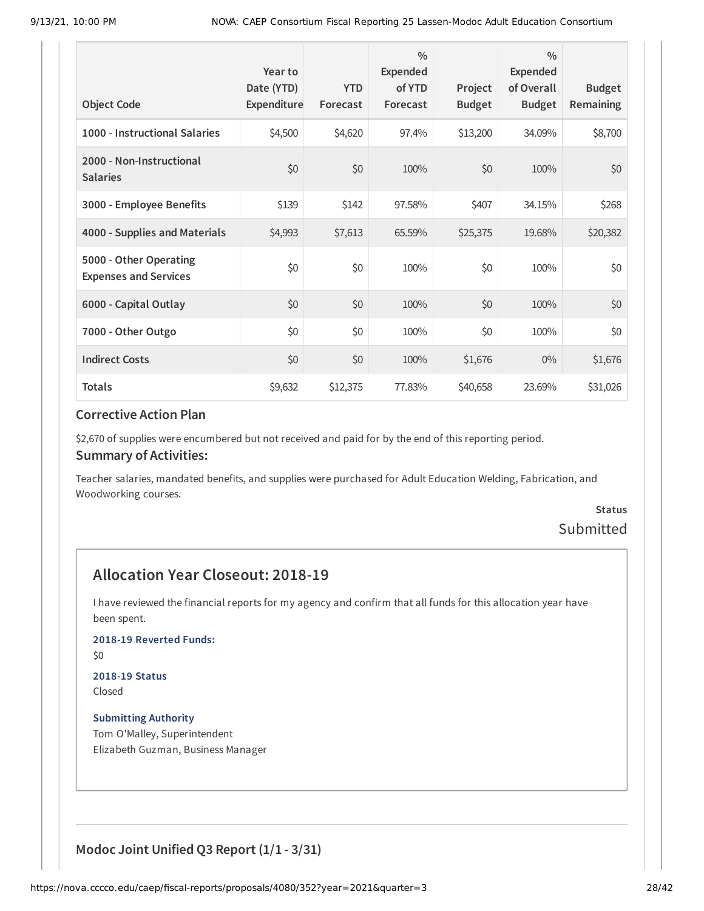| <b>Object Code</b>                                     | Year to<br>Date (YTD)<br>Expenditure | <b>YTD</b><br>Forecast | $\frac{0}{0}$<br>Expended<br>of YTD<br>Forecast | Project<br><b>Budget</b> | $\frac{0}{0}$<br><b>Expended</b><br>of Overall<br><b>Budget</b> | <b>Budget</b><br><b>Remaining</b> |
|--------------------------------------------------------|--------------------------------------|------------------------|-------------------------------------------------|--------------------------|-----------------------------------------------------------------|-----------------------------------|
| 1000 - Instructional Salaries                          | \$4,500                              | \$4,620                | 97.4%                                           | \$13,200                 | 34.09%                                                          | \$8,700                           |
| 2000 - Non-Instructional<br><b>Salaries</b>            | \$0                                  | \$0                    | 100%                                            | \$0                      | 100%                                                            | \$0                               |
| 3000 - Employee Benefits                               | \$139                                | \$142                  | 97.58%                                          | \$407                    | 34.15%                                                          | \$268                             |
| 4000 - Supplies and Materials                          | \$4,993                              | \$7,613                | 65.59%                                          | \$25,375                 | 19.68%                                                          | \$20,382                          |
| 5000 - Other Operating<br><b>Expenses and Services</b> | \$0                                  | \$0                    | 100%                                            | \$0                      | 100%                                                            | \$0                               |
| 6000 - Capital Outlay                                  | \$0                                  | \$0                    | 100%                                            | \$0                      | 100%                                                            | \$0                               |
| 7000 - Other Outgo                                     | \$0                                  | \$0                    | 100%                                            | \$0                      | 100%                                                            | \$0                               |
| <b>Indirect Costs</b>                                  | \$0                                  | \$0                    | 100%                                            | \$1,676                  | $0\%$                                                           | \$1,676                           |
| <b>Totals</b>                                          | \$9,632                              | \$12,375               | 77.83%                                          | \$40,658                 | 23.69%                                                          | \$31,026                          |

\$2,670 of supplies were encumbered but not received and paid for by the end of this reporting period.

#### **Summary of Activities:**

Teacher salaries, mandated benefits, and supplies were purchased for Adult Education Welding, Fabrication, and Woodworking courses.

## **Status** Submitted

## **Allocation Year Closeout: 2018-19**

I have reviewed the financial reports for my agency and confirm that all funds for this allocation year have been spent.

**2018-19 Reverted Funds:**

\$0

## **2018-19 Status**

Closed

**Submitting Authority** Tom O'Malley, Superintendent Elizabeth Guzman, Business Manager

**Modoc Joint Unified Q3 Report (1/1 - 3/31)**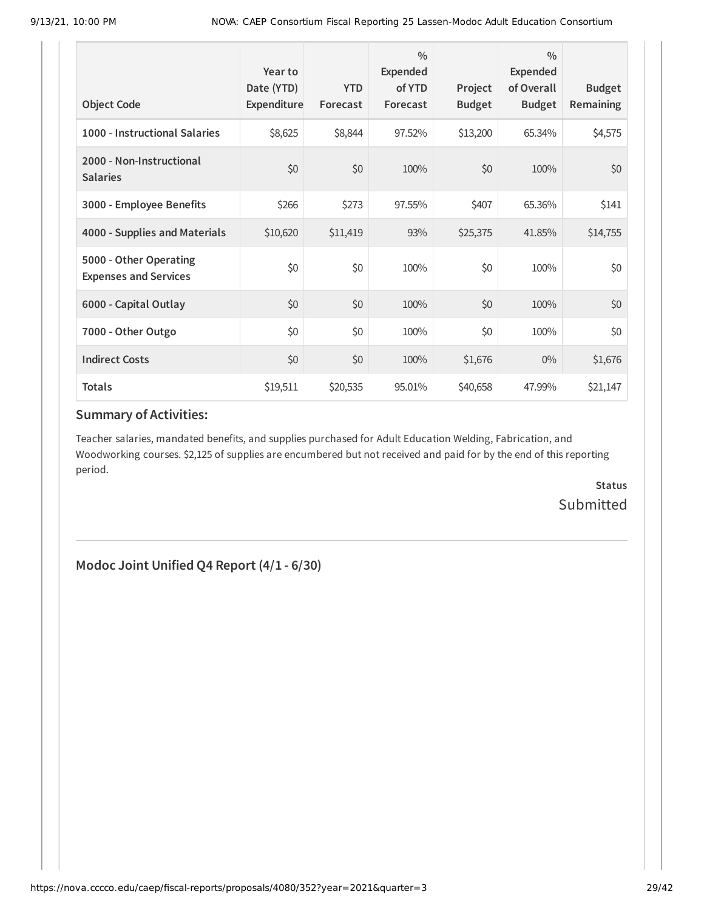| <b>Object Code</b>                                     | Year to<br>Date (YTD)<br>Expenditure | <b>YTD</b><br>Forecast | $\frac{0}{0}$<br>Expended<br>of YTD<br>Forecast | Project<br><b>Budget</b> | $\frac{0}{0}$<br>Expended<br>of Overall<br><b>Budget</b> | <b>Budget</b><br><b>Remaining</b> |
|--------------------------------------------------------|--------------------------------------|------------------------|-------------------------------------------------|--------------------------|----------------------------------------------------------|-----------------------------------|
| 1000 - Instructional Salaries                          | \$8,625                              | \$8,844                | 97.52%                                          | \$13,200                 | 65.34%                                                   | \$4,575                           |
| 2000 - Non-Instructional<br><b>Salaries</b>            | \$0                                  | \$0                    | 100%                                            | \$0                      | 100%                                                     | \$0                               |
| 3000 - Employee Benefits                               | \$266                                | \$273                  | 97.55%                                          | \$407                    | 65.36%                                                   | \$141                             |
| 4000 - Supplies and Materials                          | \$10,620                             | \$11,419               | 93%                                             | \$25,375                 | 41.85%                                                   | \$14,755                          |
| 5000 - Other Operating<br><b>Expenses and Services</b> | \$0                                  | \$0                    | 100%                                            | \$0                      | 100%                                                     | \$0                               |
| 6000 - Capital Outlay                                  | \$0                                  | \$0                    | 100%                                            | \$0                      | 100%                                                     | \$0                               |
| 7000 - Other Outgo                                     | \$0                                  | \$0                    | 100%                                            | \$0                      | 100%                                                     | \$0                               |
| <b>Indirect Costs</b>                                  | \$0                                  | \$0                    | 100%                                            | \$1,676                  | $0\%$                                                    | \$1,676                           |
| <b>Totals</b>                                          | \$19,511                             | \$20,535               | 95.01%                                          | \$40,658                 | 47.99%                                                   | \$21,147                          |

Teacher salaries, mandated benefits, and supplies purchased for Adult Education Welding, Fabrication, and Woodworking courses. \$2,125 of supplies are encumbered but not received and paid for by the end of this reporting period.

> **Status** Submitted

**Modoc Joint Unified Q4 Report (4/1 - 6/30)**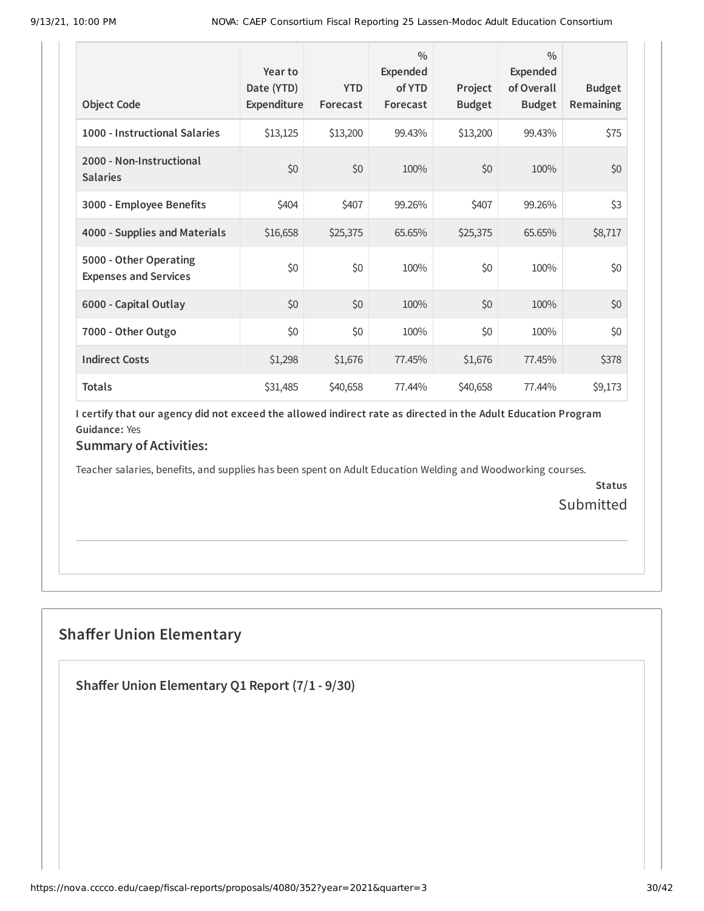| <b>Object Code</b>                                     | Year to<br>Date (YTD)<br>Expenditure | <b>YTD</b><br>Forecast | $\frac{0}{0}$<br>Expended<br>of YTD<br>Forecast | Project<br><b>Budget</b> | $\frac{0}{0}$<br>Expended<br>of Overall<br><b>Budget</b> | <b>Budget</b><br>Remaining |
|--------------------------------------------------------|--------------------------------------|------------------------|-------------------------------------------------|--------------------------|----------------------------------------------------------|----------------------------|
| 1000 - Instructional Salaries                          | \$13,125                             | \$13,200               | 99.43%                                          | \$13,200                 | 99.43%                                                   | \$75                       |
| 2000 - Non-Instructional<br><b>Salaries</b>            | \$0                                  | \$0                    | 100%                                            | \$0                      | 100%                                                     | \$0                        |
| 3000 - Employee Benefits                               | \$404                                | \$407                  | 99.26%                                          | \$407                    | 99.26%                                                   | \$3                        |
| 4000 - Supplies and Materials                          | \$16,658                             | \$25,375               | 65.65%                                          | \$25,375                 | 65.65%                                                   | \$8,717                    |
| 5000 - Other Operating<br><b>Expenses and Services</b> | \$0                                  | \$0                    | 100%                                            | \$0                      | 100%                                                     | \$0                        |
| 6000 - Capital Outlay                                  | \$0                                  | \$0                    | 100%                                            | \$0                      | 100%                                                     | \$0                        |
| 7000 - Other Outgo                                     | \$0                                  | \$0                    | 100%                                            | \$0                      | 100%                                                     | \$0                        |
| <b>Indirect Costs</b>                                  | \$1,298                              | \$1,676                | 77.45%                                          | \$1,676                  | 77.45%                                                   | \$378                      |
| <b>Totals</b>                                          | \$31,485                             | \$40,658               | 77.44%                                          | \$40,658                 | 77.44%                                                   | \$9,173                    |

I certify that our agency did not exceed the allowed indirect rate as directed in the Adult Education Program **Guidance:** Yes

## **Summary of Activities:**

Teacher salaries, benefits, and supplies has been spent on Adult Education Welding and Woodworking courses.

**Status** Submitted

## **Shaffer Union Elementary**

**Shaffer Union Elementary Q1 Report (7/1 - 9/30)**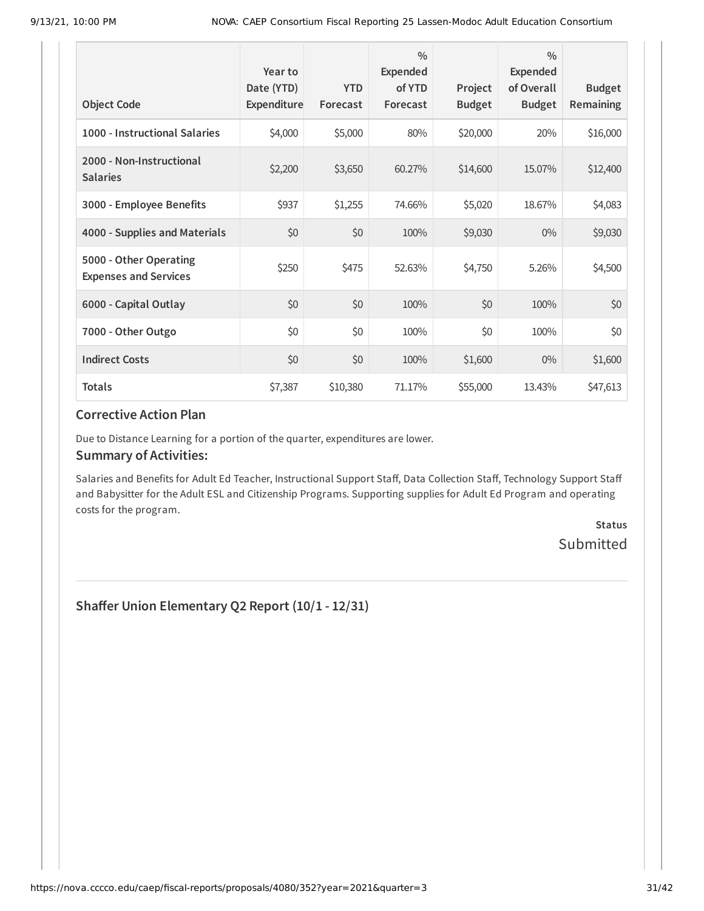|                                                        | Year to<br>Date (YTD) | <b>YTD</b> | $\frac{0}{0}$<br>Expended<br>of YTD | Project       | $\frac{0}{0}$<br><b>Expended</b><br>of Overall | <b>Budget</b> |
|--------------------------------------------------------|-----------------------|------------|-------------------------------------|---------------|------------------------------------------------|---------------|
| <b>Object Code</b>                                     | Expenditure           | Forecast   | Forecast                            | <b>Budget</b> | <b>Budget</b>                                  | Remaining     |
| 1000 - Instructional Salaries                          | \$4,000               | \$5,000    | 80%                                 | \$20,000      | 20%                                            | \$16,000      |
| 2000 - Non-Instructional<br><b>Salaries</b>            | \$2,200               | \$3,650    | 60.27%                              | \$14,600      | 15.07%                                         | \$12,400      |
| 3000 - Employee Benefits                               | \$937                 | \$1,255    | 74.66%                              | \$5,020       | 18.67%                                         | \$4,083       |
| 4000 - Supplies and Materials                          | \$0                   | \$0        | 100%                                | \$9,030       | $0\%$                                          | \$9,030       |
| 5000 - Other Operating<br><b>Expenses and Services</b> | \$250                 | \$475      | 52.63%                              | \$4,750       | 5.26%                                          | \$4,500       |
| 6000 - Capital Outlay                                  | \$0                   | \$0        | 100%                                | \$0           | 100%                                           | \$0           |
| 7000 - Other Outgo                                     | \$0                   | \$0        | 100%                                | \$0           | 100%                                           | \$0           |
| <b>Indirect Costs</b>                                  | \$0                   | \$0        | 100%                                | \$1,600       | $0\%$                                          | \$1,600       |
| <b>Totals</b>                                          | \$7,387               | \$10,380   | 71.17%                              | \$55,000      | 13.43%                                         | \$47,613      |

Due to Distance Learning for a portion of the quarter, expenditures are lower.

#### **Summary of Activities:**

Salaries and Benefits for Adult Ed Teacher, Instructional Support Staff, Data Collection Staff, Technology Support Staff and Babysitter for the Adult ESL and Citizenship Programs. Supporting supplies for Adult Ed Program and operating costs for the program.

> **Status** Submitted

**Shaffer Union Elementary Q2 Report (10/1 - 12/31)**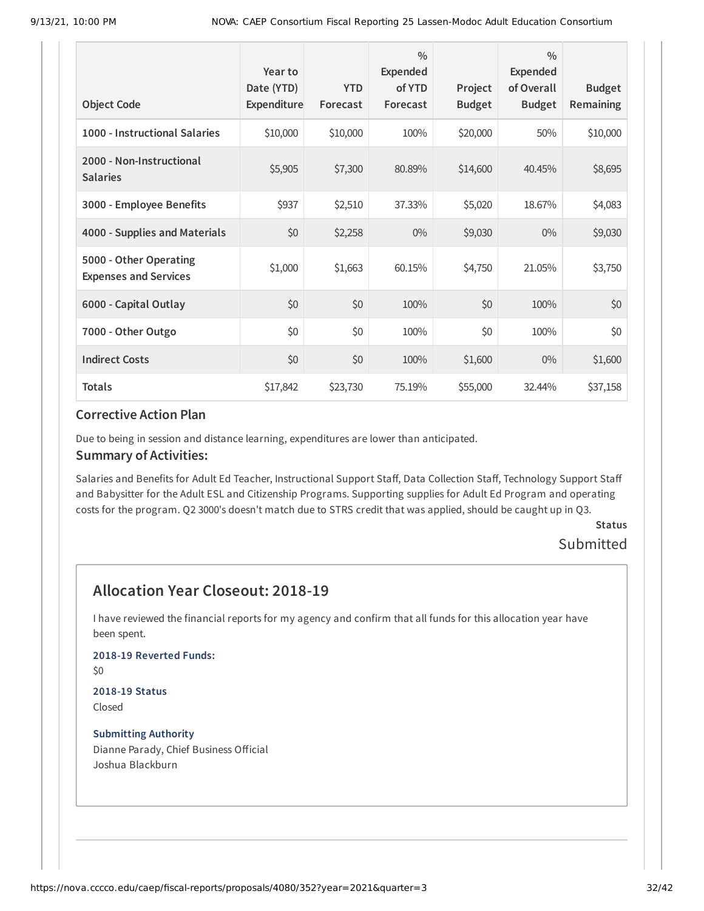| <b>Object Code</b>                                     | Year to<br>Date (YTD)<br>Expenditure | <b>YTD</b><br>Forecast | $\frac{0}{0}$<br>Expended<br>of YTD<br>Forecast | Project<br><b>Budget</b> | $\frac{0}{0}$<br><b>Expended</b><br>of Overall<br><b>Budget</b> | <b>Budget</b><br>Remaining |
|--------------------------------------------------------|--------------------------------------|------------------------|-------------------------------------------------|--------------------------|-----------------------------------------------------------------|----------------------------|
| 1000 - Instructional Salaries                          | \$10,000                             | \$10,000               | 100%                                            | \$20,000                 | 50%                                                             | \$10,000                   |
| 2000 - Non-Instructional<br><b>Salaries</b>            | \$5,905                              | \$7,300                | 80.89%                                          | \$14,600                 | 40.45%                                                          | \$8,695                    |
| 3000 - Employee Benefits                               | \$937                                | \$2,510                | 37.33%                                          | \$5,020                  | 18.67%                                                          | \$4,083                    |
| 4000 - Supplies and Materials                          | \$0                                  | \$2,258                | $0\%$                                           | \$9,030                  | $0\%$                                                           | \$9,030                    |
| 5000 - Other Operating<br><b>Expenses and Services</b> | \$1,000                              | \$1,663                | 60.15%                                          | \$4,750                  | 21.05%                                                          | \$3,750                    |
| 6000 - Capital Outlay                                  | \$0                                  | \$0                    | 100%                                            | \$0                      | 100%                                                            | \$0                        |
| 7000 - Other Outgo                                     | \$0                                  | \$0                    | 100%                                            | \$0                      | 100%                                                            | \$0                        |
| <b>Indirect Costs</b>                                  | \$0                                  | \$0                    | 100%                                            | \$1,600                  | $0\%$                                                           | \$1,600                    |
| <b>Totals</b>                                          | \$17,842                             | \$23,730               | 75.19%                                          | \$55,000                 | 32.44%                                                          | \$37,158                   |

Due to being in session and distance learning, expenditures are lower than anticipated.

#### **Summary of Activities:**

Salaries and Benefits for Adult Ed Teacher, Instructional Support Staff, Data Collection Staff, Technology Support Staff and Babysitter for the Adult ESL and Citizenship Programs. Supporting supplies for Adult Ed Program and operating costs for the program. Q2 3000's doesn't match due to STRS credit that was applied, should be caught up in Q3.

## **Status**

## Submitted

## **Allocation Year Closeout: 2018-19**

I have reviewed the financial reports for my agency and confirm that all funds for this allocation year have been spent.

#### **2018-19 Reverted Funds:**

\$0

#### **2018-19 Status** Closed

## **Submitting Authority**

Dianne Parady, Chief Business Official Joshua Blackburn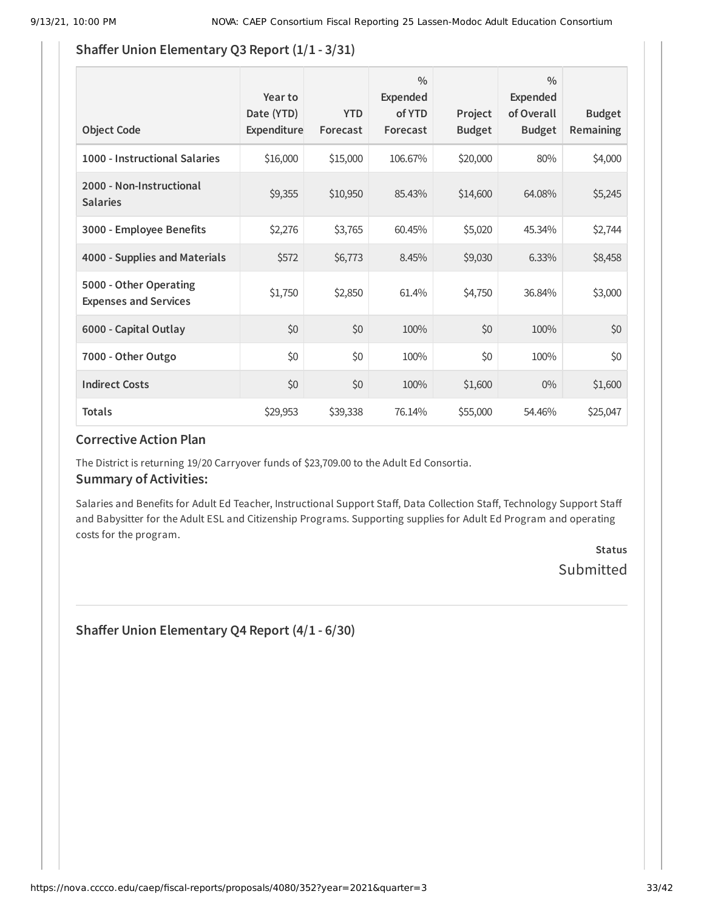### **Shaffer Union Elementary Q3 Report (1/1 - 3/31)**

| <b>Object Code</b>                                     | Year to<br>Date (YTD)<br>Expenditure | <b>YTD</b><br>Forecast | $\frac{0}{0}$<br><b>Expended</b><br>of YTD<br>Forecast | Project<br><b>Budget</b> | $\frac{0}{0}$<br>Expended<br>of Overall<br><b>Budget</b> | <b>Budget</b><br><b>Remaining</b> |
|--------------------------------------------------------|--------------------------------------|------------------------|--------------------------------------------------------|--------------------------|----------------------------------------------------------|-----------------------------------|
| 1000 - Instructional Salaries                          | \$16,000                             | \$15,000               | 106.67%                                                | \$20,000                 | 80%                                                      | \$4,000                           |
| 2000 - Non-Instructional<br><b>Salaries</b>            | \$9,355                              | \$10,950               | 85.43%                                                 | \$14,600                 | 64.08%                                                   | \$5,245                           |
| 3000 - Employee Benefits                               | \$2,276                              | \$3,765                | 60.45%                                                 | \$5,020                  | 45.34%                                                   | \$2,744                           |
| 4000 - Supplies and Materials                          | \$572                                | \$6,773                | 8.45%                                                  | \$9,030                  | 6.33%                                                    | \$8,458                           |
| 5000 - Other Operating<br><b>Expenses and Services</b> | \$1,750                              | \$2,850                | 61.4%                                                  | \$4,750                  | 36.84%                                                   | \$3,000                           |
| 6000 - Capital Outlay                                  | \$0                                  | \$0                    | 100%                                                   | \$0                      | 100%                                                     | \$0                               |
| 7000 - Other Outgo                                     | \$0                                  | \$0                    | 100%                                                   | \$0                      | 100%                                                     | \$0                               |
| <b>Indirect Costs</b>                                  | \$0                                  | \$0                    | 100%                                                   | \$1,600                  | $0\%$                                                    | \$1,600                           |
| <b>Totals</b>                                          | \$29,953                             | \$39,338               | 76.14%                                                 | \$55,000                 | 54.46%                                                   | \$25,047                          |

### **Corrective Action Plan**

The District is returning 19/20 Carryover funds of \$23,709.00 to the Adult Ed Consortia.

#### **Summary of Activities:**

Salaries and Benefits for Adult Ed Teacher, Instructional Support Staff, Data Collection Staff, Technology Support Staff and Babysitter for the Adult ESL and Citizenship Programs. Supporting supplies for Adult Ed Program and operating costs for the program.

## **Status** Submitted

**Shaffer Union Elementary Q4 Report (4/1 - 6/30)**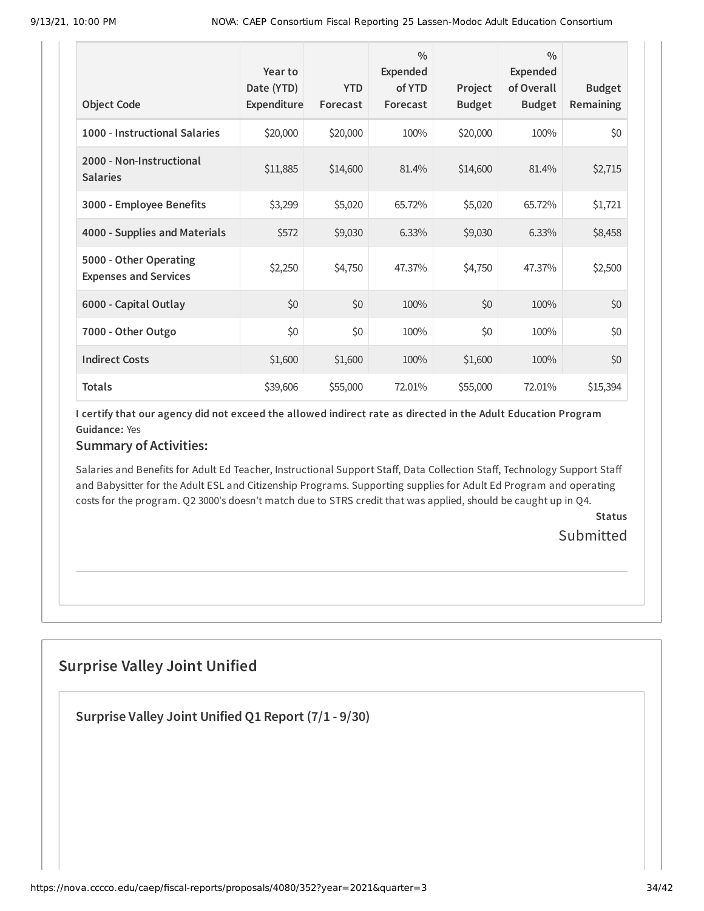| <b>Object Code</b>                                     | Year to<br>Date (YTD)<br>Expenditure | <b>YTD</b><br>Forecast | $\frac{0}{0}$<br><b>Expended</b><br>of YTD<br>Forecast | Project<br><b>Budget</b> | $\frac{0}{0}$<br><b>Expended</b><br>of Overall<br><b>Budget</b> | <b>Budget</b><br>Remaining |
|--------------------------------------------------------|--------------------------------------|------------------------|--------------------------------------------------------|--------------------------|-----------------------------------------------------------------|----------------------------|
| 1000 - Instructional Salaries                          | \$20,000                             | \$20,000               | 100%                                                   | \$20,000                 | 100%                                                            | \$0                        |
| 2000 - Non-Instructional<br><b>Salaries</b>            | \$11,885                             | \$14,600               | 81.4%                                                  | \$14,600                 | 81.4%                                                           | \$2,715                    |
| 3000 - Employee Benefits                               | \$3,299                              | \$5,020                | 65.72%                                                 | \$5,020                  | 65.72%                                                          | \$1,721                    |
| 4000 - Supplies and Materials                          | \$572                                | \$9,030                | 6.33%                                                  | \$9,030                  | 6.33%                                                           | \$8,458                    |
| 5000 - Other Operating<br><b>Expenses and Services</b> | \$2,250                              | \$4,750                | 47.37%                                                 | \$4,750                  | 47.37%                                                          | \$2,500                    |
| 6000 - Capital Outlay                                  | \$0                                  | \$0                    | 100%                                                   | \$0                      | 100%                                                            | \$0                        |
| 7000 - Other Outgo                                     | \$0                                  | \$0                    | 100%                                                   | \$0                      | 100%                                                            | \$0                        |
| <b>Indirect Costs</b>                                  | \$1,600                              | \$1,600                | 100%                                                   | \$1,600                  | 100%                                                            | \$0                        |
| <b>Totals</b>                                          | \$39,606                             | \$55,000               | 72.01%                                                 | \$55,000                 | 72.01%                                                          | \$15,394                   |

I certify that our agency did not exceed the allowed indirect rate as directed in the Adult Education Program **Guidance:** Yes

### **Summary of Activities:**

Salaries and Benefits for Adult Ed Teacher, Instructional Support Staff, Data Collection Staff, Technology Support Staff and Babysitter for the Adult ESL and Citizenship Programs. Supporting supplies for Adult Ed Program and operating costs for the program. Q2 3000's doesn't match due to STRS credit that was applied, should be caught up in Q4.

> **Status** Submitted

## **Surprise Valley Joint Unified**

**Surprise Valley Joint Unified Q1 Report (7/1 - 9/30)**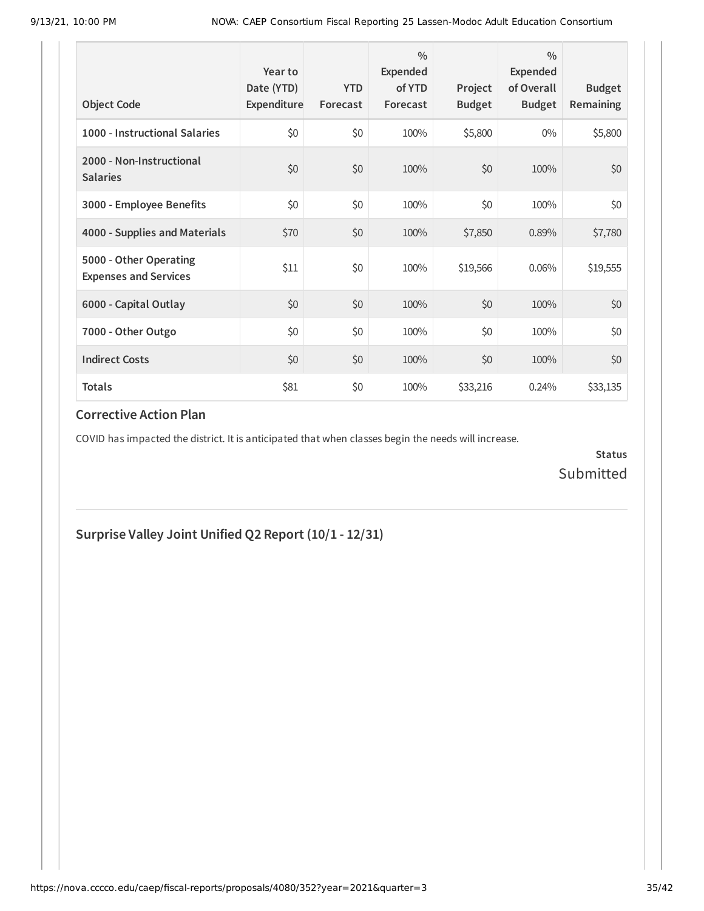| <b>Object Code</b>                                     | Year to<br>Date (YTD)<br>Expenditure | <b>YTD</b><br>Forecast | $\frac{0}{0}$<br>Expended<br>of YTD<br>Forecast | Project<br><b>Budget</b> | $\frac{0}{0}$<br>Expended<br>of Overall<br><b>Budget</b> | <b>Budget</b><br><b>Remaining</b> |
|--------------------------------------------------------|--------------------------------------|------------------------|-------------------------------------------------|--------------------------|----------------------------------------------------------|-----------------------------------|
| 1000 - Instructional Salaries                          | \$0                                  | \$0                    | 100%                                            | \$5,800                  | $0\%$                                                    | \$5,800                           |
| 2000 - Non-Instructional<br><b>Salaries</b>            | \$0                                  | \$0                    | 100%                                            | \$0                      | 100%                                                     | \$0                               |
| 3000 - Employee Benefits                               | \$0                                  | \$0                    | 100%                                            | \$0                      | 100%                                                     | \$0                               |
| 4000 - Supplies and Materials                          | \$70                                 | \$0                    | 100%                                            | \$7,850                  | 0.89%                                                    | \$7,780                           |
| 5000 - Other Operating<br><b>Expenses and Services</b> | \$11                                 | \$0                    | 100%                                            | \$19,566                 | 0.06%                                                    | \$19,555                          |
| 6000 - Capital Outlay                                  | \$0                                  | \$0                    | 100%                                            | \$0                      | 100%                                                     | \$0                               |
| 7000 - Other Outgo                                     | \$0                                  | \$0                    | 100%                                            | \$0                      | 100%                                                     | \$0                               |
| <b>Indirect Costs</b>                                  | \$0                                  | \$0                    | 100%                                            | \$0                      | 100%                                                     | \$0                               |
| <b>Totals</b>                                          | \$81                                 | \$0                    | 100%                                            | \$33,216                 | 0.24%                                                    | \$33,135                          |

COVID has impacted the district. It is anticipated that when classes begin the needs will increase.

**Status** Submitted

**Surprise Valley Joint Unified Q2 Report (10/1 - 12/31)**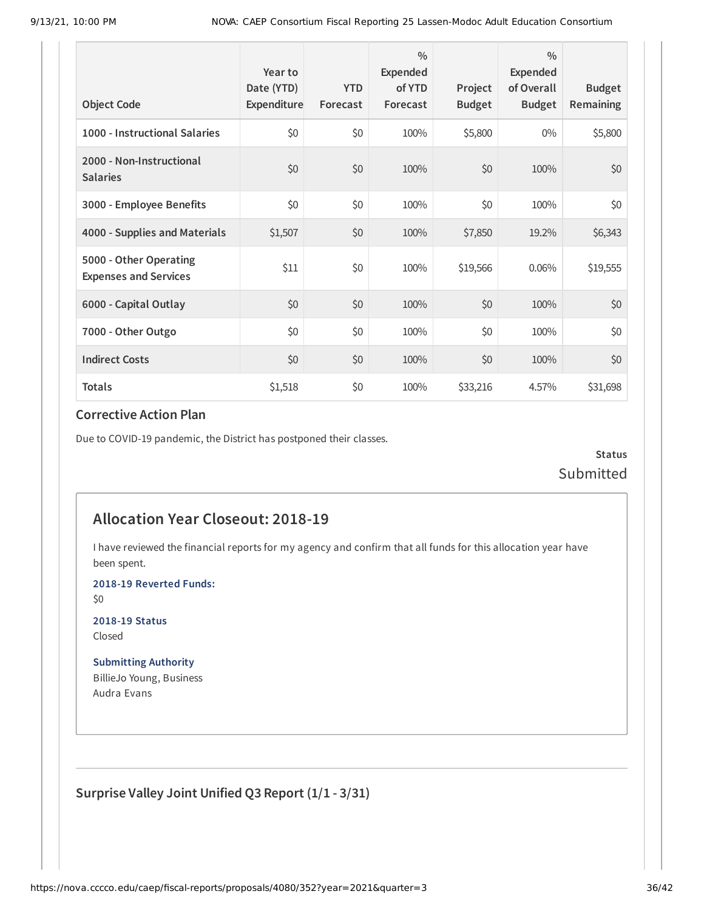| <b>Object Code</b>                                     | Year to<br>Date (YTD)<br>Expenditure | <b>YTD</b><br>Forecast | $\frac{0}{0}$<br>Expended<br>of YTD<br>Forecast | Project<br><b>Budget</b> | $\frac{0}{0}$<br>Expended<br>of Overall<br><b>Budget</b> | <b>Budget</b><br><b>Remaining</b> |
|--------------------------------------------------------|--------------------------------------|------------------------|-------------------------------------------------|--------------------------|----------------------------------------------------------|-----------------------------------|
| 1000 - Instructional Salaries                          | \$0                                  | \$0                    | 100%                                            | \$5,800                  | $0\%$                                                    | \$5,800                           |
| 2000 - Non-Instructional<br><b>Salaries</b>            | \$0                                  | \$0                    | 100%                                            | \$0                      | 100%                                                     | \$0                               |
| 3000 - Employee Benefits                               | \$0                                  | \$0                    | 100%                                            | \$0                      | 100%                                                     | \$0                               |
| 4000 - Supplies and Materials                          | \$1,507                              | \$0                    | 100%                                            | \$7,850                  | 19.2%                                                    | \$6,343                           |
| 5000 - Other Operating<br><b>Expenses and Services</b> | \$11                                 | \$0                    | 100%                                            | \$19,566                 | 0.06%                                                    | \$19,555                          |
| 6000 - Capital Outlay                                  | \$0                                  | \$0                    | 100%                                            | \$0                      | 100%                                                     | \$0                               |
| 7000 - Other Outgo                                     | \$0                                  | \$0                    | 100%                                            | \$0                      | 100%                                                     | \$0                               |
| <b>Indirect Costs</b>                                  | \$0                                  | \$0                    | 100%                                            | \$0                      | 100%                                                     | \$0                               |
| <b>Totals</b>                                          | \$1,518                              | \$0                    | 100%                                            | \$33,216                 | 4.57%                                                    | \$31,698                          |

Due to COVID-19 pandemic, the District has postponed their classes.

**Status** Submitted

## **Allocation Year Closeout: 2018-19**

I have reviewed the financial reports for my agency and confirm that all funds for this allocation year have been spent.

**2018-19 Reverted Funds:**

\$0

**2018-19 Status** Closed

**Submitting Authority** BillieJo Young, Business Audra Evans

**Surprise Valley Joint Unified Q3 Report (1/1 - 3/31)**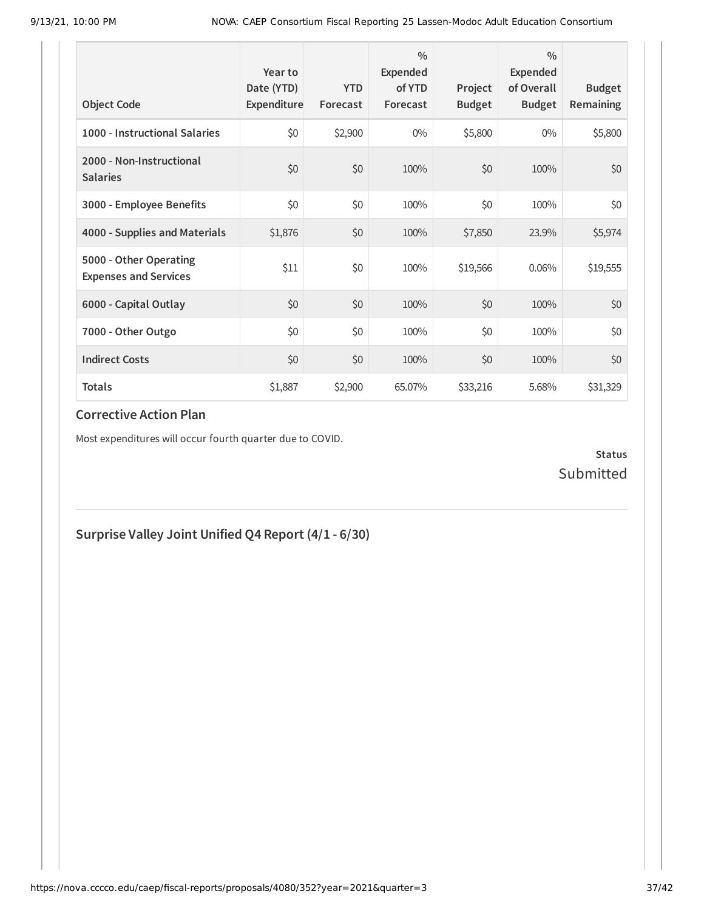| <b>Object Code</b>                                     | Year to<br>Date (YTD)<br>Expenditure | <b>YTD</b><br>Forecast | $\frac{0}{0}$<br>Expended<br>of YTD<br>Forecast | Project<br><b>Budget</b> | $\frac{0}{0}$<br>Expended<br>of Overall<br><b>Budget</b> | <b>Budget</b><br><b>Remaining</b> |
|--------------------------------------------------------|--------------------------------------|------------------------|-------------------------------------------------|--------------------------|----------------------------------------------------------|-----------------------------------|
| 1000 - Instructional Salaries                          | \$0                                  | \$2,900                | $0\%$                                           | \$5,800                  | $0\%$                                                    | \$5,800                           |
| 2000 - Non-Instructional<br><b>Salaries</b>            | \$0                                  | \$0                    | 100%                                            | \$0                      | 100%                                                     | \$0                               |
| 3000 - Employee Benefits                               | \$0                                  | \$0                    | 100%                                            | \$0                      | 100%                                                     | \$0                               |
| 4000 - Supplies and Materials                          | \$1,876                              | \$0                    | 100%                                            | \$7,850                  | 23.9%                                                    | \$5,974                           |
| 5000 - Other Operating<br><b>Expenses and Services</b> | \$11                                 | \$0                    | 100%                                            | \$19,566                 | 0.06%                                                    | \$19,555                          |
| 6000 - Capital Outlay                                  | \$0                                  | \$0                    | 100%                                            | \$0                      | 100%                                                     | \$0                               |
| 7000 - Other Outgo                                     | \$0                                  | \$0                    | 100%                                            | \$0                      | 100%                                                     | \$0                               |
| <b>Indirect Costs</b>                                  | \$0                                  | \$0                    | 100%                                            | \$0                      | 100%                                                     | \$0                               |
| <b>Totals</b>                                          | \$1,887                              | \$2,900                | 65.07%                                          | \$33,216                 | 5.68%                                                    | \$31,329                          |

Most expenditures will occur fourth quarter due to COVID.

## **Status** Submitted

## **Surprise Valley Joint Unified Q4 Report (4/1 - 6/30)**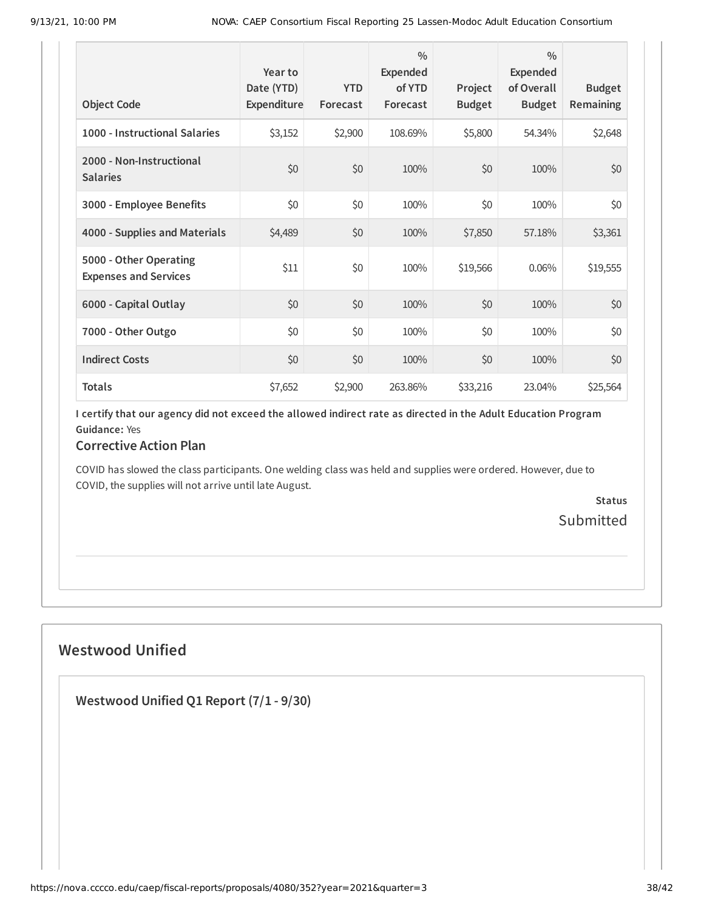| <b>Object Code</b>                                     | Year to<br>Date (YTD)<br>Expenditure | <b>YTD</b><br>Forecast | $\frac{0}{0}$<br>Expended<br>of YTD<br>Forecast | Project<br><b>Budget</b> | $\frac{0}{0}$<br>Expended<br>of Overall<br><b>Budget</b> | <b>Budget</b><br>Remaining |
|--------------------------------------------------------|--------------------------------------|------------------------|-------------------------------------------------|--------------------------|----------------------------------------------------------|----------------------------|
| 1000 - Instructional Salaries                          | \$3,152                              | \$2,900                | 108.69%                                         | \$5,800                  | 54.34%                                                   | \$2,648                    |
| 2000 - Non-Instructional<br><b>Salaries</b>            | \$0                                  | \$0                    | 100%                                            | \$0                      | 100%                                                     | \$0                        |
| 3000 - Employee Benefits                               | \$0                                  | \$0                    | 100%                                            | \$0                      | 100%                                                     | \$0                        |
| 4000 - Supplies and Materials                          | \$4,489                              | \$0                    | 100%                                            | \$7,850                  | 57.18%                                                   | \$3,361                    |
| 5000 - Other Operating<br><b>Expenses and Services</b> | \$11                                 | \$0                    | 100%                                            | \$19,566                 | 0.06%                                                    | \$19,555                   |
| 6000 - Capital Outlay                                  | \$0                                  | \$0                    | 100%                                            | \$0                      | 100%                                                     | \$0                        |
| 7000 - Other Outgo                                     | \$0                                  | \$0                    | 100%                                            | \$0                      | 100%                                                     | \$0                        |
| <b>Indirect Costs</b>                                  | \$0                                  | \$0                    | 100%                                            | \$0                      | 100%                                                     | \$0                        |
| <b>Totals</b>                                          | \$7,652                              | \$2,900                | 263.86%                                         | \$33,216                 | 23.04%                                                   | \$25,564                   |

I certify that our agency did not exceed the allowed indirect rate as directed in the Adult Education Program **Guidance:** Yes

## **Corrective Action Plan**

COVID has slowed the class participants. One welding class was held and supplies were ordered. However, due to COVID, the supplies will not arrive until late August.

> **Status** Submitted

## **Westwood Unified**

**Westwood Unified Q1 Report (7/1 - 9/30)**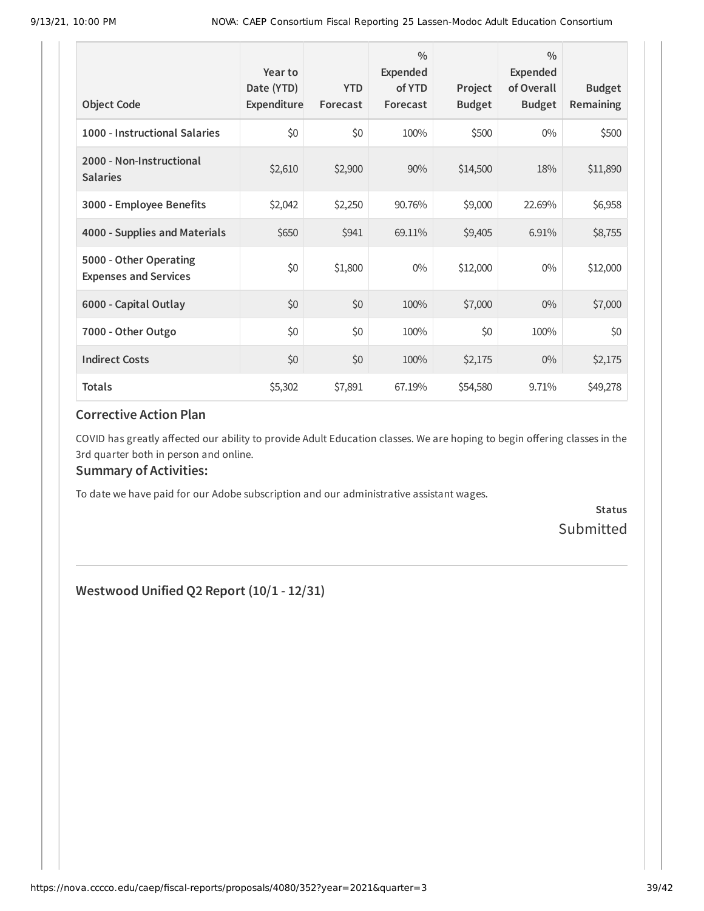| <b>Object Code</b>                                     | Year to<br>Date (YTD)<br>Expenditure | <b>YTD</b><br>Forecast | $\frac{0}{0}$<br><b>Expended</b><br>of YTD<br>Forecast | Project<br><b>Budget</b> | $\frac{0}{0}$<br>Expended<br>of Overall<br><b>Budget</b> | <b>Budget</b><br><b>Remaining</b> |
|--------------------------------------------------------|--------------------------------------|------------------------|--------------------------------------------------------|--------------------------|----------------------------------------------------------|-----------------------------------|
| 1000 - Instructional Salaries                          | \$0                                  | \$0                    | 100%                                                   | \$500                    | $0\%$                                                    | \$500                             |
| 2000 - Non-Instructional<br><b>Salaries</b>            | \$2,610                              | \$2,900                | 90%                                                    | \$14,500                 | 18%                                                      | \$11,890                          |
| 3000 - Employee Benefits                               | \$2,042                              | \$2,250                | 90.76%                                                 | \$9,000                  | 22.69%                                                   | \$6,958                           |
| 4000 - Supplies and Materials                          | \$650                                | \$941                  | 69.11%                                                 | \$9,405                  | 6.91%                                                    | \$8,755                           |
| 5000 - Other Operating<br><b>Expenses and Services</b> | \$0                                  | \$1,800                | $0\%$                                                  | \$12,000                 | $0\%$                                                    | \$12,000                          |
| 6000 - Capital Outlay                                  | \$0                                  | \$0                    | 100%                                                   | \$7,000                  | $0\%$                                                    | \$7,000                           |
| 7000 - Other Outgo                                     | \$0                                  | \$0                    | 100%                                                   | \$0                      | 100%                                                     | \$0                               |
| <b>Indirect Costs</b>                                  | \$0                                  | \$0                    | 100%                                                   | \$2,175                  | $0\%$                                                    | \$2,175                           |
| <b>Totals</b>                                          | \$5,302                              | \$7,891                | 67.19%                                                 | \$54,580                 | 9.71%                                                    | \$49,278                          |

COVID has greatly affected our ability to provide Adult Education classes. We are hoping to begin offering classes in the 3rd quarter both in person and online.

### **Summary of Activities:**

To date we have paid for our Adobe subscription and our administrative assistant wages.

**Status** Submitted

**Westwood Unified Q2 Report (10/1 - 12/31)**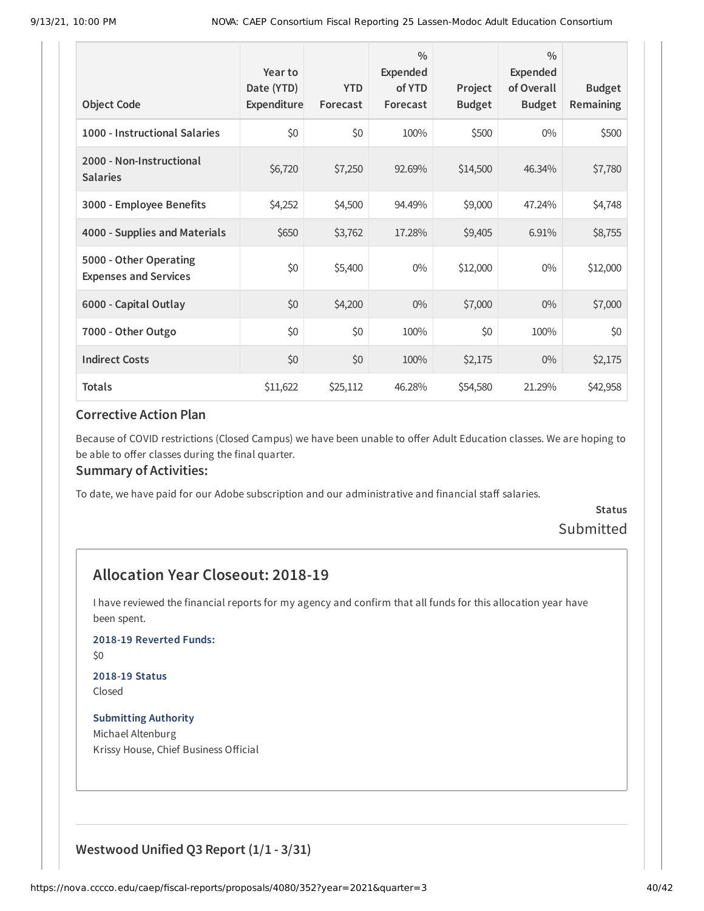| <b>Object Code</b>                                     | Year to<br>Date (YTD)<br>Expenditure | <b>YTD</b><br>Forecast | $\frac{0}{0}$<br>Expended<br>of YTD<br>Forecast | Project<br><b>Budget</b> | $\frac{0}{0}$<br><b>Expended</b><br>of Overall<br><b>Budget</b> | <b>Budget</b><br>Remaining |
|--------------------------------------------------------|--------------------------------------|------------------------|-------------------------------------------------|--------------------------|-----------------------------------------------------------------|----------------------------|
| 1000 - Instructional Salaries                          | \$0                                  | \$0                    | 100%                                            | \$500                    | $0\%$                                                           | \$500                      |
| 2000 - Non-Instructional<br><b>Salaries</b>            | \$6,720                              | \$7,250                | 92.69%                                          | \$14,500                 | 46.34%                                                          | \$7,780                    |
| 3000 - Employee Benefits                               | \$4,252                              | \$4,500                | 94.49%                                          | \$9,000                  | 47.24%                                                          | \$4,748                    |
| 4000 - Supplies and Materials                          | \$650                                | \$3,762                | 17.28%                                          | \$9,405                  | 6.91%                                                           | \$8,755                    |
| 5000 - Other Operating<br><b>Expenses and Services</b> | \$0                                  | \$5,400                | $0\%$                                           | \$12,000                 | $0\%$                                                           | \$12,000                   |
| 6000 - Capital Outlay                                  | \$0                                  | \$4,200                | $0\%$                                           | \$7,000                  | $0\%$                                                           | \$7,000                    |
| 7000 - Other Outgo                                     | \$0                                  | \$0                    | 100%                                            | \$0                      | 100%                                                            | \$0                        |
| <b>Indirect Costs</b>                                  | \$0                                  | \$0                    | 100%                                            | \$2,175                  | $0\%$                                                           | \$2,175                    |
| <b>Totals</b>                                          | \$11,622                             | \$25,112               | 46.28%                                          | \$54,580                 | 21.29%                                                          | \$42,958                   |

Because of COVID restrictions (Closed Campus) we have been unable to offer Adult Education classes. We are hoping to be able to offer classes during the final quarter.

#### **Summary of Activities:**

To date, we have paid for our Adobe subscription and our administrative and financial staff salaries.

## **Status** Submitted

## **Allocation Year Closeout: 2018-19**

I have reviewed the financial reports for my agency and confirm that all funds for this allocation year have been spent.

**2018-19 Reverted Funds:**

\$0

## **2018-19 Status**

Closed

**Submitting Authority** Michael Altenburg Krissy House, Chief Business Official

## **Westwood Unified Q3 Report (1/1 - 3/31)**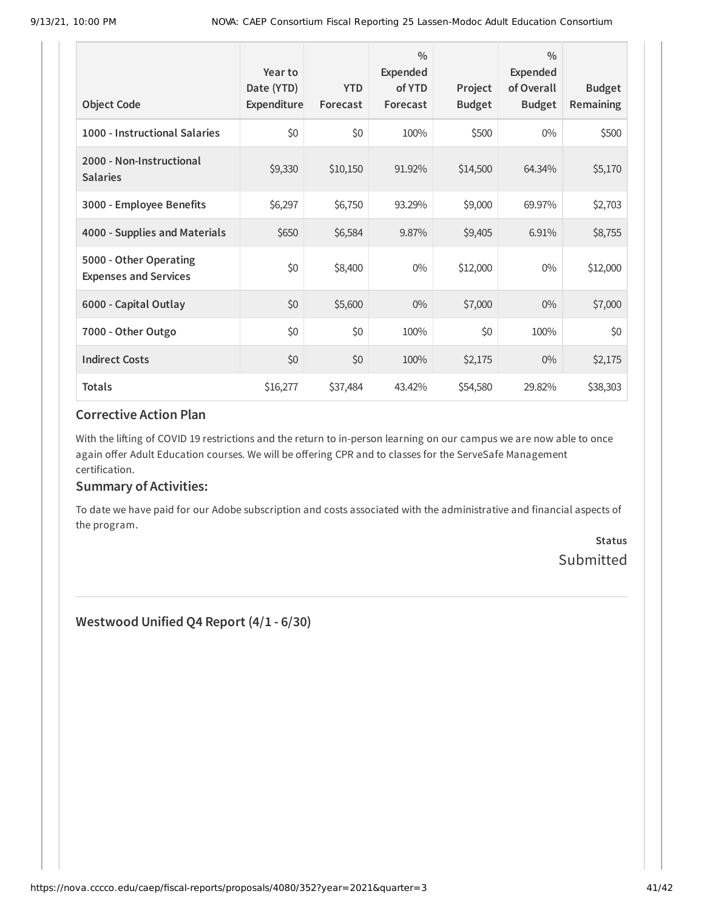| <b>Object Code</b>                                     | Year to<br>Date (YTD)<br>Expenditure | <b>YTD</b><br>Forecast | $\frac{0}{0}$<br><b>Expended</b><br>of YTD<br>Forecast | Project<br><b>Budget</b> | $\frac{0}{0}$<br>Expended<br>of Overall<br><b>Budget</b> | <b>Budget</b><br><b>Remaining</b> |
|--------------------------------------------------------|--------------------------------------|------------------------|--------------------------------------------------------|--------------------------|----------------------------------------------------------|-----------------------------------|
| 1000 - Instructional Salaries                          | \$0                                  | \$0                    | 100%                                                   | \$500                    | $0\%$                                                    | \$500                             |
| 2000 - Non-Instructional<br><b>Salaries</b>            | \$9,330                              | \$10,150               | 91.92%                                                 | \$14,500                 | 64.34%                                                   | \$5,170                           |
| 3000 - Employee Benefits                               | \$6,297                              | \$6,750                | 93.29%                                                 | \$9,000                  | 69.97%                                                   | \$2,703                           |
| 4000 - Supplies and Materials                          | \$650                                | \$6,584                | 9.87%                                                  | \$9,405                  | 6.91%                                                    | \$8,755                           |
| 5000 - Other Operating<br><b>Expenses and Services</b> | \$0                                  | \$8,400                | $0\%$                                                  | \$12,000                 | $0\%$                                                    | \$12,000                          |
| 6000 - Capital Outlay                                  | \$0                                  | \$5,600                | $0\%$                                                  | \$7,000                  | $0\%$                                                    | \$7,000                           |
| 7000 - Other Outgo                                     | \$0                                  | \$0                    | 100%                                                   | \$0                      | 100%                                                     | \$0                               |
| <b>Indirect Costs</b>                                  | \$0                                  | \$0                    | 100%                                                   | \$2,175                  | $0\%$                                                    | \$2,175                           |
| <b>Totals</b>                                          | \$16,277                             | \$37,484               | 43.42%                                                 | \$54,580                 | 29.82%                                                   | \$38,303                          |

With the lifting of COVID 19 restrictions and the return to in-person learning on our campus we are now able to once again offer Adult Education courses. We will be offering CPR and to classes for the ServeSafe Management certification.

#### **Summary of Activities:**

To date we have paid for our Adobe subscription and costs associated with the administrative and financial aspects of the program.

> **Status Submitted**

**Westwood Unified Q4 Report (4/1 - 6/30)**